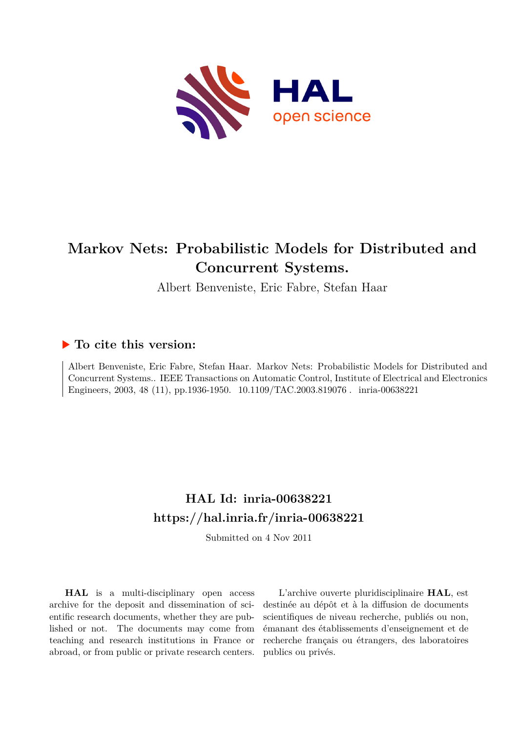

## **Markov Nets: Probabilistic Models for Distributed and Concurrent Systems.**

Albert Benveniste, Eric Fabre, Stefan Haar

### **To cite this version:**

Albert Benveniste, Eric Fabre, Stefan Haar. Markov Nets: Probabilistic Models for Distributed and Concurrent Systems.. IEEE Transactions on Automatic Control, Institute of Electrical and Electronics Engineers, 2003, 48 (11), pp.1936-1950. 10.1109/TAC.2003.819076. inria-00638221

## **HAL Id: inria-00638221 <https://hal.inria.fr/inria-00638221>**

Submitted on 4 Nov 2011

**HAL** is a multi-disciplinary open access archive for the deposit and dissemination of scientific research documents, whether they are published or not. The documents may come from teaching and research institutions in France or abroad, or from public or private research centers.

L'archive ouverte pluridisciplinaire **HAL**, est destinée au dépôt et à la diffusion de documents scientifiques de niveau recherche, publiés ou non, émanant des établissements d'enseignement et de recherche français ou étrangers, des laboratoires publics ou privés.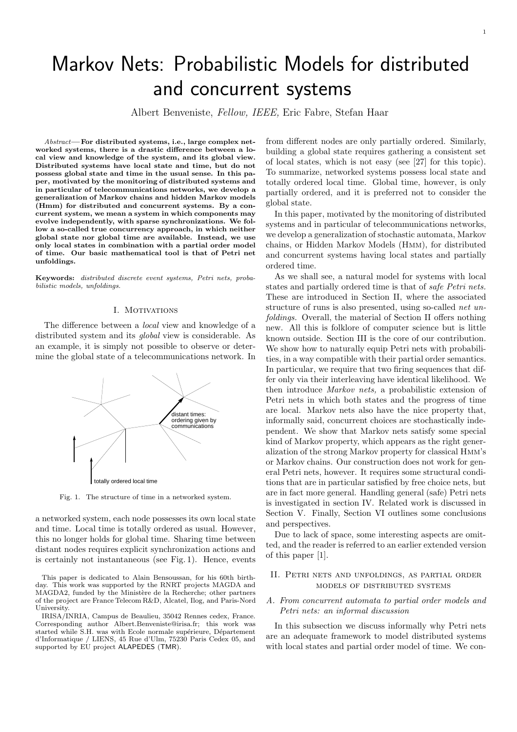# Markov Nets: Probabilistic Models for distributed and concurrent systems

Albert Benveniste, Fellow, IEEE, Eric Fabre, Stefan Haar

 $Abstract$ —For distributed systems, i.e., large complex networked systems, there is a drastic difference between a local view and knowledge of the system, and its global view. Distributed systems have local state and time, but do not possess global state and time in the usual sense. In this paper, motivated by the monitoring of distributed systems and in particular of telecommunications networks, we develop a generalization of Markov chains and hidden Markov models (Hmm) for distributed and concurrent systems. By a concurrent system, we mean a system in which components may evolve independently, with sparse synchronizations. We follow a so-called true concurrency approach, in which neither global state nor global time are available. Instead, we use only local states in combination with a partial order model of time. Our basic mathematical tool is that of Petri net unfoldings.

Keywords: distributed discrete event systems, Petri nets, probabilistic models, unfoldings.

#### I. MOTIVATIONS

The difference between a *local* view and knowledge of a distributed system and its global view is considerable. As an example, it is simply not possible to observe or determine the global state of a telecommunications network. In



Fig. 1. The structure of time in a networked system.

a networked system, each node possesses its own local state and time. Local time is totally ordered as usual. However, this no longer holds for global time. Sharing time between distant nodes requires explicit synchronization actions and is certainly not instantaneous (see Fig. 1). Hence, events

from different nodes are only partially ordered. Similarly, building a global state requires gathering a consistent set of local states, which is not easy (see [27] for this topic). To summarize, networked systems possess local state and totally ordered local time. Global time, however, is only partially ordered, and it is preferred not to consider the global state.

In this paper, motivated by the monitoring of distributed systems and in particular of telecommunications networks, we develop a generalization of stochastic automata, Markov chains, or Hidden Markov Models (Hmm), for distributed and concurrent systems having local states and partially ordered time.

As we shall see, a natural model for systems with local states and partially ordered time is that of safe Petri nets. These are introduced in Section II, where the associated structure of runs is also presented, using so-called net unfoldings. Overall, the material of Section II offers nothing new. All this is folklore of computer science but is little known outside. Section III is the core of our contribution. We show how to naturally equip Petri nets with probabilities, in a way compatible with their partial order semantics. In particular, we require that two firing sequences that differ only via their interleaving have identical likelihood. We then introduce Markov nets, a probabilistic extension of Petri nets in which both states and the progress of time are local. Markov nets also have the nice property that, informally said, concurrent choices are stochastically independent. We show that Markov nets satisfy some special kind of Markov property, which appears as the right generalization of the strong Markov property for classical Hmm's or Markov chains. Our construction does not work for general Petri nets, however. It requires some structural conditions that are in particular satisfied by free choice nets, but are in fact more general. Handling general (safe) Petri nets is investigated in section IV. Related work is discussed in Section V. Finally, Section VI outlines some conclusions and perspectives.

Due to lack of space, some interesting aspects are omitted, and the reader is referred to an earlier extended version of this paper [1].

#### II. Petri nets and unfoldings, as partial order models of distributed systems

#### A. From concurrent automata to partial order models and Petri nets: an informal discussion

In this subsection we discuss informally why Petri nets are an adequate framework to model distributed systems with local states and partial order model of time. We con-

This paper is dedicated to Alain Bensoussan, for his 60th birth-This work was supported by the RNRT projects MAGDA and MAGDA2, funded by the Ministère de la Recherche; other partners of the project are France Telecom R&D, Alcatel, Ilog, and Paris-Nord University.

IRISA/INRIA, Campus de Beaulieu, 35042 Rennes cedex, France. Corresponding author Albert.Benveniste@irisa.fr; this work was started while S.H. was with Ecole normale supérieure, Département d'Informatique / LIENS, 45 Rue d'Ulm, 75230 Paris Cedex 05, and supported by EU project ALAPEDES (TMR).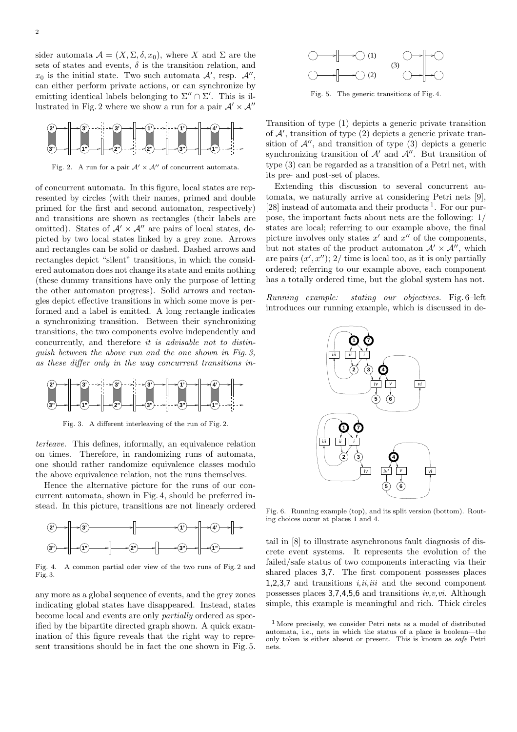sider automata  $\mathcal{A} = (X, \Sigma, \delta, x_0)$ , where X and  $\Sigma$  are the sets of states and events,  $\delta$  is the transition relation, and  $x_0$  is the initial state. Two such automata  $\mathcal{A}'$ , resp.  $\mathcal{A}''$ , can either perform private actions, or can synchronize by emitting identical labels belonging to  $\Sigma'' \cap \Sigma'$ . This is illustrated in Fig. 2 where we show a run for a pair  $\mathcal{A}' \times \mathcal{A}''$ 



Fig. 2. A run for a pair  $\mathcal{A}' \times \mathcal{A}''$  of concurrent automata.

of concurrent automata. In this figure, local states are represented by circles (with their names, primed and double primed for the first and second automaton, respectively) and transitions are shown as rectangles (their labels are omitted). States of  $A' \times A''$  are pairs of local states, depicted by two local states linked by a grey zone. Arrows and rectangles can be solid or dashed. Dashed arrows and rectangles depict "silent" transitions, in which the considered automaton does not change its state and emits nothing (these dummy transitions have only the purpose of letting the other automaton progress). Solid arrows and rectangles depict effective transitions in which some move is performed and a label is emitted. A long rectangle indicates a synchronizing transition. Between their synchronizing transitions, the two components evolve independently and concurrently, and therefore it is advisable not to distinguish between the above run and the one shown in Fig. 3, as these differ only in the way concurrent transitions in-



Fig. 3. A different interleaving of the run of Fig. 2.

terleave. This defines, informally, an equivalence relation on times. Therefore, in randomizing runs of automata, one should rather randomize equivalence classes modulo the above equivalence relation, not the runs themselves.

Hence the alternative picture for the runs of our concurrent automata, shown in Fig. 4, should be preferred instead. In this picture, transitions are not linearly ordered



Fig. 4. A common partial oder view of the two runs of Fig. 2 and Fig. 3.

any more as a global sequence of events, and the grey zones indicating global states have disappeared. Instead, states become local and events are only partially ordered as specified by the bipartite directed graph shown. A quick examination of this figure reveals that the right way to represent transitions should be in fact the one shown in Fig. 5.



Fig. 5. The generic transitions of Fig. 4.

Transition of type (1) depicts a generic private transition of  $A'$ , transition of type  $(2)$  depicts a generic private transition of  $\mathcal{A}^{\prime\prime}$ , and transition of type (3) depicts a generic synchronizing transition of  $A'$  and  $A''$ . But transition of type (3) can be regarded as a transition of a Petri net, with its pre- and post-set of places.

Extending this discussion to several concurrent automata, we naturally arrive at considering Petri nets [9], [28] instead of automata and their products<sup>1</sup>. For our purpose, the important facts about nets are the following: 1/ states are local; referring to our example above, the final picture involves only states  $x'$  and  $x''$  of the components, but not states of the product automaton  $\mathcal{A}' \times \mathcal{A}''$ , which are pairs  $(x', x'')$ ; 2/ time is local too, as it is only partially ordered; referring to our example above, each component has a totally ordered time, but the global system has not.

Running example: stating our objectives. Fig. 6–left introduces our running example, which is discussed in de-



Fig. 6. Running example (top), and its split version (bottom). Routing choices occur at places 1 and 4.

tail in [8] to illustrate asynchronous fault diagnosis of discrete event systems. It represents the evolution of the failed/safe status of two components interacting via their shared places 3,7. The first component possesses places 1,2,3,7 and transitions  $i,ii,iii$  and the second component possesses places  $3,7,4,5,6$  and transitions  $iv,v,vi$ . Although simple, this example is meaningful and rich. Thick circles

<sup>1</sup> More precisely, we consider Petri nets as a model of distributed automata, i.e., nets in which the status of a place is boolean—the only token is either absent or present. This is known as safe Petri nets.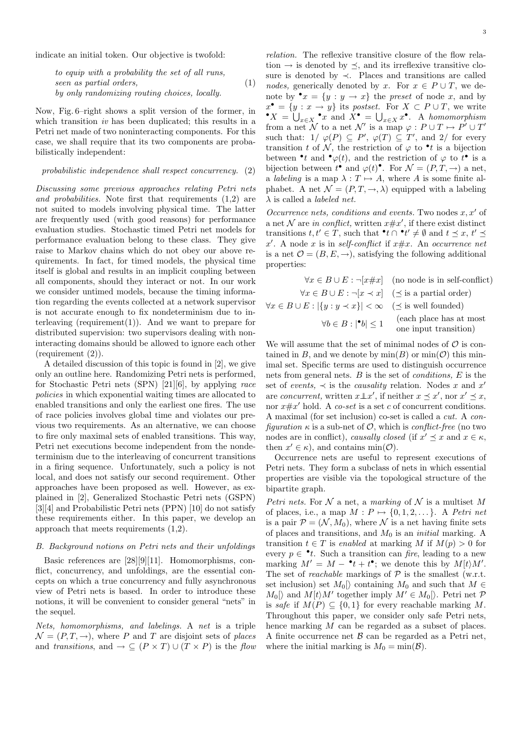indicate an initial token. Our objective is twofold:

to equip with a probability the set of all runs, seen as partial orders, by only randomizing routing choices, locally. (1)

Now, Fig. 6–right shows a split version of the former, in which transition *iv* has been duplicated; this results in a Petri net made of two noninteracting components. For this case, we shall require that its two components are probabilistically independent:

#### probabilistic independence shall respect concurrency. (2)

Discussing some previous approaches relating Petri nets and probabilities. Note first that requirements (1,2) are not suited to models involving physical time. The latter are frequently used (with good reasons) for performance evaluation studies. Stochastic timed Petri net models for performance evaluation belong to these class. They give raise to Markov chains which do not obey our above requirements. In fact, for timed models, the physical time itself is global and results in an implicit coupling between all components, should they interact or not. In our work we consider untimed models, because the timing information regarding the events collected at a network supervisor is not accurate enough to fix nondeterminism due to interleaving (requirement $(1)$ ). And we want to prepare for distributed supervision: two supervisors dealing with noninteracting domains should be allowed to ignore each other (requirement (2)).

A detailed discussion of this topic is found in [2], we give only an outline here. Randomizing Petri nets is performed, for Stochastic Petri nets (SPN) [21][6], by applying race policies in which exponential waiting times are allocated to enabled transitions and only the earliest one fires. The use of race policies involves global time and violates our previous two requirements. As an alternative, we can choose to fire only maximal sets of enabled transitions. This way, Petri net executions become independent from the nondeterminism due to the interleaving of concurrent transitions in a firing sequence. Unfortunately, such a policy is not local, and does not satisfy our second requirement. Other approaches have been proposed as well. However, as explained in [2], Generalized Stochastic Petri nets (GSPN) [3][4] and Probabilistic Petri nets (PPN) [10] do not satisfy these requirements either. In this paper, we develop an approach that meets requirements (1,2).

#### B. Background notions on Petri nets and their unfoldings

Basic references are [28][9][11]. Homomorphisms, conflict, concurrency, and unfoldings, are the essential concepts on which a true concurrency and fully asynchronous view of Petri nets is based. In order to introduce these notions, it will be convenient to consider general "nets" in the sequel.

Nets, homomorphisms, and labelings. A net is a triple  $\mathcal{N} = (P, T, \rightarrow)$ , where P and T are disjoint sets of places and transitions, and  $\rightarrow \subseteq (P \times T) \cup (T \times P)$  is the flow relation. The reflexive transitive closure of the flow relation  $\rightarrow$  is denoted by  $\prec$ , and its irreflexive transitive closure is denoted by ≺. Places and transitions are called nodes, generically denoted by x. For  $x \in P \cup T$ , we denote by  $\bullet x = \{y : y \rightarrow x\}$  the *preset* of node x, and by  $x^{\bullet} = \{y : x \to y\}$  its postset. For  $X \subset P \cup T$ , we write  $\bullet X = \bigcup_{x \in X} \bullet x$  and  $X \bullet = \bigcup_{x \in X} x^{\bullet}$ . A homomorphism from a net N to a net N' is a map  $\varphi : P \cup T \mapsto P' \cup T'$ such that:  $1/\varphi(P) \subseteq P'$ ,  $\varphi(T) \subseteq T'$ , and  $2/\text{ for every}$ transition t of N, the restriction of  $\varphi$  to  $\bullet$  t is a bijection between  $\bullet$  t and  $\bullet \varphi(t)$ , and the restriction of  $\varphi$  to  $t^{\bullet}$  is a bijection between  $t^{\bullet}$  and  $\varphi(t)^{\bullet}$ . For  $\mathcal{N} = (P, T, \rightarrow)$  a net, a *labeling* is a map  $\lambda : T \mapsto A$ , where A is some finite alphabet. A net  $\mathcal{N} = (P, T, \rightarrow, \lambda)$  equipped with a labeling  $\lambda$  is called a *labeled net*.

Occurrence nets, conditions and events. Two nodes  $x, x'$  of a net N are in conflict, written  $x \# x'$ , if there exist distinct transitions  $t, t' \in T$ , such that  $\mathbf{t} \cap \mathbf{t}' \neq \emptyset$  and  $t \preceq x, t' \preceq$  $x'$ . A node x is in self-conflict if  $x \# x$ . An occurrence net is a net  $\mathcal{O} = (B, E, \rightarrow)$ , satisfying the following additional properties:

$$
\forall x \in B \cup E : \neg[x \neq x] \quad \text{(no node is in self-conflict)}
$$
\n
$$
\forall x \in B \cup E : \neg[x \prec x] \quad (\preceq \text{ is a partial order})
$$
\n
$$
\forall x \in B \cup E : |\{y : y \prec x\}| < \infty \quad (\preceq \text{ is well founded})
$$
\n
$$
\forall b \in B : |\bullet b| \le 1 \quad \text{(each place has at most one input transition)}
$$

We will assume that the set of minimal nodes of  $\mathcal O$  is contained in B, and we denote by  $\min(B)$  or  $\min(\mathcal{O})$  this minimal set. Specific terms are used to distinguish occurrence nets from general nets.  $B$  is the set of *conditions*,  $E$  is the set of events,  $\prec$  is the causality relation. Nodes x and x' are *concurrent*, written  $x \perp x'$ , if neither  $x \preceq x'$ , nor  $x' \preceq x$ , nor  $x \# x'$  hold. A co-set is a set c of concurrent conditions. A maximal (for set inclusion) co-set is called a cut. A configuration  $\kappa$  is a sub-net of  $\mathcal{O}$ , which is conflict-free (no two nodes are in conflict), causally closed (if  $x' \preceq x$  and  $x \in \kappa$ , then  $x' \in \kappa$ , and contains min( $\mathcal{O}$ ).

Occurrence nets are useful to represent executions of Petri nets. They form a subclass of nets in which essential properties are visible via the topological structure of the bipartite graph.

Petri nets. For N a net, a marking of N is a multiset M of places, i.e., a map  $M : P \mapsto \{0, 1, 2, \ldots\}$ . A Petri net is a pair  $\mathcal{P} = (\mathcal{N}, M_0)$ , where  $\mathcal N$  is a net having finite sets of places and transitions, and  $M_0$  is an *initial* marking. A transition  $t \in T$  is enabled at marking M if  $M(p) > 0$  for every  $p \in \cdot t$ . Such a transition can fire, leading to a new marking  $M' = M - \cdot t + t^{\bullet}$ ; we denote this by  $M[t\rangle M'.$ The set of *reachable* markings of  $P$  is the smallest (w.r.t. set inclusion) set  $M_0$ | containing  $M_0$  and such that  $M \in$  $M_0[\rangle$  and  $M[t\rangle M'$  together imply  $M' \in M_0[\rangle$ . Petri net  $\mathcal{P}$ is safe if  $M(P) \subseteq \{0,1\}$  for every reachable marking M. Throughout this paper, we consider only safe Petri nets, hence marking M can be regarded as a subset of places. A finite occurrence net  $\beta$  can be regarded as a Petri net, where the initial marking is  $M_0 = \min(\mathcal{B})$ .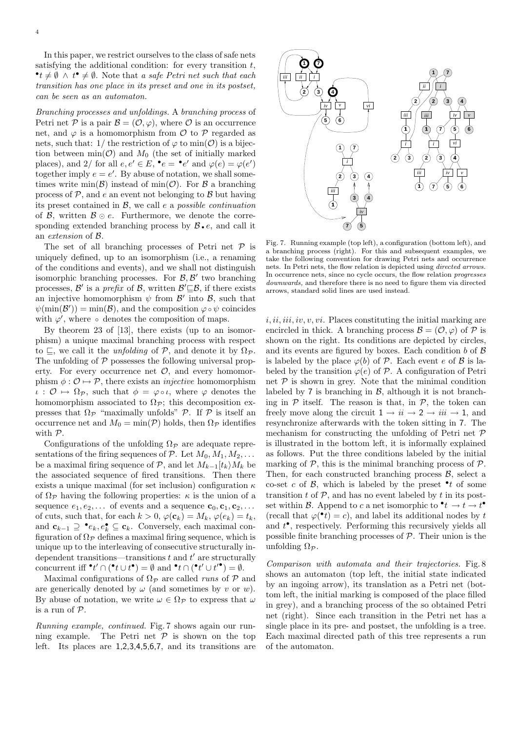In this paper, we restrict ourselves to the class of safe nets satisfying the additional condition: for every transition  $t$ ,  $\bullet t \neq \emptyset$  ∧  $t^{\bullet} \neq \emptyset$ . Note that a safe Petri net such that each transition has one place in its preset and one in its postset, can be seen as an automaton.

Branching processes and unfoldings. A branching process of Petri net P is a pair  $\mathcal{B} = (\mathcal{O}, \varphi)$ , where  $\mathcal O$  is an occurrence net, and  $\varphi$  is a homomorphism from  $\mathcal O$  to  $\mathcal P$  regarded as nets, such that: 1/ the restriction of  $\varphi$  to min( $\mathcal{O}$ ) is a bijection between  $\min(\mathcal{O})$  and  $M_0$  (the set of initially marked places), and 2/ for all  $e, e' \in E$ ,  $\bullet e = \bullet e'$  and  $\varphi(e) = \varphi(e')$ together imply  $e = e'$ . By abuse of notation, we shall sometimes write  $\min(\mathcal{B})$  instead of  $\min(\mathcal{O})$ . For  $\mathcal B$  a branching process of  $P$ , and  $e$  an event not belonging to  $B$  but having its preset contained in  $\mathcal{B}$ , we call e a possible continuation of  $\mathcal{B}$ , written  $\mathcal{B} \odot e$ . Furthermore, we denote the corresponding extended branching process by  $\beta \cdot e$ , and call it an extension of B.

The set of all branching processes of Petri net  $\mathcal P$  is uniquely defined, up to an isomorphism (i.e., a renaming of the conditions and events), and we shall not distinguish isomorphic branching processes. For  $\mathcal{B}, \mathcal{B}'$  two branching processes,  $\mathcal{B}'$  is a prefix of  $\mathcal{B}$ , written  $\mathcal{B}' \subseteq \mathcal{B}$ , if there exists an injective homomorphism  $\psi$  from  $\mathcal{B}'$  into  $\mathcal{B}$ , such that  $\psi(\min(\mathcal{B}')) = \min(\mathcal{B})$ , and the composition  $\varphi \circ \psi$  coincides with  $\varphi'$ , where ∘ denotes the composition of maps.

By theorem 23 of [13], there exists (up to an isomorphism) a unique maximal branching process with respect to  $\sqsubseteq$ , we call it the *unfolding* of  $P$ , and denote it by  $\Omega_P$ . The unfolding of  $P$  possesses the following universal property. For every occurrence net  $\mathcal{O}$ , and every homomorphism  $\phi : \mathcal{O} \mapsto \mathcal{P}$ , there exists an *injective* homomorphism  $\iota : \mathcal{O} \mapsto \Omega_{\mathcal{P}}$ , such that  $\phi = \varphi \circ \iota$ , where  $\varphi$  denotes the homomorphism associated to  $\Omega_{\mathcal{P}}$ ; this decomposition expresses that  $\Omega_{\mathcal{P}}$  "maximally unfolds"  $\mathcal{P}$ . If  $\mathcal{P}$  is itself an occurrence net and  $M_0 = \min(\mathcal{P})$  holds, then  $\Omega_{\mathcal{P}}$  identifies with P.

Configurations of the unfolding  $\Omega_{\mathcal{P}}$  are adequate representations of the firing sequences of  $\mathcal{P}$ . Let  $M_0, M_1, M_2, \ldots$ be a maximal firing sequence of  $\mathcal{P}$ , and let  $M_{k-1}[t_k]M_k$  be the associated sequence of fired transitions. Then there exists a unique maximal (for set inclusion) configuration  $\kappa$ of  $\Omega_{\mathcal{P}}$  having the following properties:  $\kappa$  is the union of a sequence  $e_1, e_2, \ldots$  of events and a sequence  $\mathbf{c}_0, \mathbf{c}_1, \mathbf{c}_2, \ldots$ of cuts, such that, for each  $k > 0$ ,  $\varphi(\mathbf{c}_k) = M_k$ ,  $\varphi(e_k) = t_k$ , and  $\mathbf{c}_{k-1} \supseteq \bullet e_k, e_k^{\bullet} \subseteq \mathbf{c}_k$ . Conversely, each maximal configuration of  $\Omega_{\mathcal{P}}$  defines a maximal firing sequence, which is unique up to the interleaving of consecutive structurally independent transitions—transitions  $t$  and  $t'$  are structurally concurrent iff  $\mathbf{f}' \cap (\mathbf{f} \cup t^{\bullet}) = \emptyset$  and  $\mathbf{f} \cap (\mathbf{f}' \cup t'^{\bullet}) = \emptyset$ .

Maximal configurations of  $\Omega_{\mathcal{P}}$  are called *runs* of  $\mathcal{P}$  and are generically denoted by  $\omega$  (and sometimes by v or w). By abuse of notation, we write  $\omega \in \Omega_{\mathcal{P}}$  to express that  $\omega$ is a run of P.

Running example, continued. Fig. 7 shows again our running example. The Petri net  $P$  is shown on the top left. Its places are 1,2,3,4,5,6,7, and its transitions are



Fig. 7. Running example (top left), a configuration (bottom left), and a branching process (right). For this and subsequent examples, we take the following convention for drawing Petri nets and occurrence nets. In Petri nets, the flow relation is depicted using directed arrows. In occurrence nets, since no cycle occurs, the flow relation progresses downwards, and therefore there is no need to figure them via directed arrows, standard solid lines are used instead.

 $i, ii, iii, iv, v, vi.$  Places constituting the initial marking are encircled in thick. A branching process  $\mathcal{B} = (\mathcal{O}, \varphi)$  of  $\mathcal{P}$  is shown on the right. Its conditions are depicted by circles, and its events are figured by boxes. Each condition  $b$  of  $\beta$ is labeled by the place  $\varphi(b)$  of P. Each event e of B is labeled by the transition  $\varphi(e)$  of P. A configuration of Petri net  $P$  is shown in grey. Note that the minimal condition labeled by 7 is branching in  $\mathcal{B}$ , although it is not branching in  $P$  itself. The reason is that, in  $P$ , the token can freely move along the circuit  $1 \rightarrow ii \rightarrow 2 \rightarrow iii \rightarrow 1$ , and resynchronize afterwards with the token sitting in 7. The mechanism for constructing the unfolding of Petri net  $P$ is illustrated in the bottom left, it is informally explained as follows. Put the three conditions labeled by the initial marking of  $P$ , this is the minimal branching process of  $P$ . Then, for each constructed branching process  $\mathcal{B}$ , select a co-set c of  $\mathcal{B}$ , which is labeled by the preset  $\bullet$  t of some transition  $t$  of  $P$ , and has no event labeled by  $t$  in its postset within B. Append to c a net isomorphic to  $^{\bullet}t \to t \to t^{\bullet}$ (recall that  $\varphi(\bullet t) = c$ ), and label its additional nodes by t and  $t^{\bullet}$ , respectively. Performing this recursively yields all possible finite branching processes of  $P$ . Their union is the unfolding  $\Omega_{\mathcal{P}}$ .

Comparison with automata and their trajectories. Fig. 8 shows an automaton (top left, the initial state indicated by an ingoing arrow), its translation as a Petri net (bottom left, the initial marking is composed of the place filled in grey), and a branching process of the so obtained Petri net (right). Since each transition in the Petri net has a single place in its pre- and postset, the unfolding is a tree. Each maximal directed path of this tree represents a run of the automaton.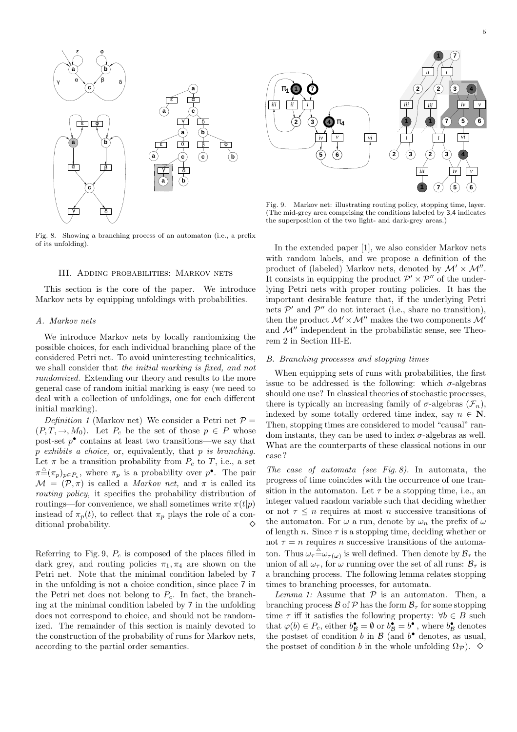



Fig. 8. Showing a branching process of an automaton (i.e., a prefix of its unfolding).

#### III. Adding probabilities: Markov nets

This section is the core of the paper. We introduce Markov nets by equipping unfoldings with probabilities.

#### A. Markov nets

We introduce Markov nets by locally randomizing the possible choices, for each individual branching place of the considered Petri net. To avoid uninteresting technicalities, we shall consider that the initial marking is fixed, and not randomized. Extending our theory and results to the more general case of random initial marking is easy (we need to deal with a collection of unfoldings, one for each different initial marking).

Definition 1 (Markov net) We consider a Petri net  $P =$  $(P, T, \rightarrow, M_0)$ . Let  $P_c$  be the set of those  $p \in P$  whose post-set  $p^{\bullet}$  contains at least two transitions—we say that  $p$  exhibits a choice, or, equivalently, that  $p$  is branching. Let  $\pi$  be a transition probability from  $P_c$  to T, i.e., a set  $\pi \triangleq (\pi_p)_{p \in P_c}$ , where  $\pi_p$  is a probability over  $p^{\bullet}$ . The pair  $\mathcal{M} = (\mathcal{P}, \pi)$  is called a *Markov net*, and  $\pi$  is called its routing policy, it specifies the probability distribution of routings—for convenience, we shall sometimes write  $\pi(t|p)$ instead of  $\pi_p(t)$ , to reflect that  $\pi_p$  plays the role of a conditional probability.

Referring to Fig. 9,  $P_c$  is composed of the places filled in dark grey, and routing policies  $\pi_1, \pi_4$  are shown on the Petri net. Note that the minimal condition labeled by 7 in the unfolding is not a choice condition, since place 7 in the Petri net does not belong to  $P_c$ . In fact, the branching at the minimal condition labeled by 7 in the unfolding does not correspond to choice, and should not be randomized. The remainder of this section is mainly devoted to the construction of the probability of runs for Markov nets, according to the partial order semantics.



Fig. 9. Markov net: illustrating routing policy, stopping time, layer. (The mid-grey area comprising the conditions labeled by 3,4 indicates the superposition of the two light- and dark-grey areas.)

In the extended paper [1], we also consider Markov nets with random labels, and we propose a definition of the product of (labeled) Markov nets, denoted by  $\mathcal{M}' \times \mathcal{M}''$ . It consists in equipping the product  $\mathcal{P}' \times \mathcal{P}''$  of the underlying Petri nets with proper routing policies. It has the important desirable feature that, if the underlying Petri nets  $\mathcal{P}'$  and  $\mathcal{P}''$  do not interact (i.e., share no transition), then the product  $\mathcal{M}' \times \mathcal{M}''$  makes the two components  $\mathcal{M}'$ and  $\mathcal{M}^{\prime\prime}$  independent in the probabilistic sense, see Theorem 2 in Section III-E.

#### B. Branching processes and stopping times

When equipping sets of runs with probabilities, the first issue to be addressed is the following: which  $\sigma$ -algebras should one use? In classical theories of stochastic processes, there is typically an increasing family of  $\sigma$ -algebras  $(\mathcal{F}_n)$ , indexed by some totally ordered time index, say  $n \in \mathbb{N}$ . Then, stopping times are considered to model "causal" random instants, they can be used to index  $\sigma$ -algebras as well. What are the counterparts of these classical notions in our case ?

The case of automata (see Fig. 8). In automata, the progress of time coincides with the occurrence of one transition in the automaton. Let  $\tau$  be a stopping time, i.e., an integer valued random variable such that deciding whether or not  $\tau \leq n$  requires at most n successive transitions of the automaton. For  $\omega$  a run, denote by  $\omega_n$  the prefix of  $\omega$ of length n. Since  $\tau$  is a stopping time, deciding whether or not  $\tau = n$  requires n successive transitions of the automaton. Thus  $\omega_{\tau} \triangleq \omega_{\tau(\omega)}$  is well defined. Then denote by  $\mathcal{B}_{\tau}$  the union of all  $\omega_{\tau}$ , for  $\omega$  running over the set of all runs:  $\mathcal{B}_{\tau}$  is a branching process. The following lemma relates stopping times to branching processes, for automata.

Lemma 1: Assume that  $P$  is an automaton. Then, a branching process  $\mathcal{B}$  of  $\mathcal{P}$  has the form  $\mathcal{B}_{\tau}$  for some stopping time  $\tau$  iff it satisfies the following property:  $\forall b \in B$  such that  $\varphi(b) \in P_c$ , either  $b_{\mathcal{B}}^{\bullet} = \emptyset$  or  $b_{\mathcal{B}}^{\bullet} = b^{\bullet}$ , where  $b_{\mathcal{B}}^{\bullet}$  denotes the postset of condition b in  $\mathcal{B}$  (and  $b^{\bullet}$  denotes, as usual, the postset of condition b in the whole unfolding  $\Omega_{\mathcal{P}}$ ).  $\diamond$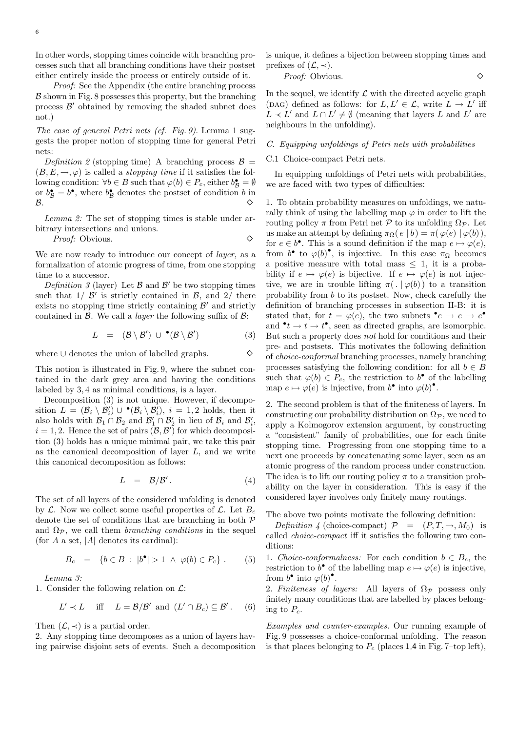In other words, stopping times coincide with branching processes such that all branching conditions have their postset either entirely inside the process or entirely outside of it.

Proof: See the Appendix (the entire branching process  $\beta$  shown in Fig. 8 possesses this property, but the branching process  $\mathcal{B}'$  obtained by removing the shaded subnet does not.)

The case of general Petri nets (cf. Fig. 9). Lemma 1 suggests the proper notion of stopping time for general Petri nets:

Definition 2 (stopping time) A branching process  $\mathcal{B} =$  $(B, E, \rightarrow, \varphi)$  is called a *stopping time* if it satisfies the following condition:  $\forall b \in B$  such that  $\varphi(b) \in P_c$ , either  $b_{\mathcal{B}}^{\bullet} = \emptyset$ or  $b_{\mathcal{B}}^{\bullet} = b^{\bullet}$ , where  $b_{\mathcal{B}}^{\bullet}$  denotes the postset of condition b in  $B.$ 

Lemma 2: The set of stopping times is stable under arbitrary intersections and unions.

Proof: Obvious.

We are now ready to introduce our concept of *layer*, as a formalization of atomic progress of time, from one stopping time to a successor.

Definition 3 (layer) Let  $\beta$  and  $\beta'$  be two stopping times such that  $1/\mathcal{B}'$  is strictly contained in  $\mathcal{B}$ , and  $2/\ell$  there exists no stopping time strictly containing  $\mathcal{B}'$  and strictly contained in  $\beta$ . We call a *layer* the following suffix of  $\beta$ :

$$
L = (\mathcal{B} \setminus \mathcal{B}') \cup {}^{\bullet}(\mathcal{B} \setminus \mathcal{B}')
$$
 (3)

where <sup>∪</sup> denotes the union of labelled graphs.

This notion is illustrated in Fig. 9, where the subnet contained in the dark grey area and having the conditions labeled by 3, 4 as minimal conditions, is a layer.

Decomposition (3) is not unique. However, if decomposition  $L = (\mathcal{B}_i \setminus \mathcal{B}'_i) \cup \bullet (\mathcal{B}_i \setminus \mathcal{B}'_i), i = 1, 2$  holds, then it also holds with  $\mathcal{B}_1 \cap \mathcal{B}_2$  and  $\mathcal{B}'_1 \cap \mathcal{B}'_2$  in lieu of  $\mathcal{B}_i$  and  $\mathcal{B}'_i$ ,  $i = 1, 2$ . Hence the set of pairs  $(\mathcal{B}, \mathcal{B}')$  for which decomposition (3) holds has a unique minimal pair, we take this pair as the canonical decomposition of layer  $L$ , and we write this canonical decomposition as follows:

$$
L = \mathcal{B}/\mathcal{B}'.
$$
 (4)

The set of all layers of the considered unfolding is denoted by  $\mathcal{L}$ . Now we collect some useful properties of  $\mathcal{L}$ . Let  $B_c$ denote the set of conditions that are branching in both P and  $\Omega_{\mathcal{P}}$ , we call them *branching conditions* in the sequel (for  $A$  a set,  $|A|$  denotes its cardinal):

$$
B_c = \{b \in B : |b^{\bullet}| > 1 \land \varphi(b) \in P_c\}.
$$
 (5)

Lemma 3:

1. Consider the following relation on  $\mathcal{L}$ :

$$
L' \prec L \quad \text{iff} \quad L = \mathcal{B}/\mathcal{B}' \text{ and } (L' \cap B_c) \subseteq \mathcal{B}'.
$$
 (6)

Then  $(\mathcal{L}, \prec)$  is a partial order.

2. Any stopping time decomposes as a union of layers having pairwise disjoint sets of events. Such a decomposition is unique, it defines a bijection between stopping times and prefixes of  $(\mathcal{L}, \prec)$ .

Proof: Obvious.

In the sequel, we identify  $\mathcal L$  with the directed acyclic graph (DAG) defined as follows: for  $L, L' \in \mathcal{L}$ , write  $L \to L'$  iff  $L \prec L'$  and  $L \cap L' \neq \emptyset$  (meaning that layers L and L' are neighbours in the unfolding).

#### C. Equipping unfoldings of Petri nets with probabilities

#### C.1 Choice-compact Petri nets.

In equipping unfoldings of Petri nets with probabilities, we are faced with two types of difficulties:

1. To obtain probability measures on unfoldings, we naturally think of using the labelling map  $\varphi$  in order to lift the routing policy π from Petri net P to its unfolding  $\Omega_{\mathcal{P}}$ . Let us make an attempt by defining  $\pi_{\Omega}(e | b) = \pi(\varphi(e) | \varphi(b)),$ for  $e \in b^{\bullet}$ . This is a sound definition if the map  $e \mapsto \varphi(e)$ , from  $b^{\bullet}$  to  $\varphi(b)^{\bullet}$ , is injective. In this case  $\pi_{\Omega}$  becomes a positive measure with total mass  $\leq 1$ , it is a probability if  $e \mapsto \varphi(e)$  is bijective. If  $e \mapsto \varphi(e)$  is not injective, we are in trouble lifting  $\pi(. | \varphi(b))$  to a transition probability from b to its postset. Now, check carefully the definition of branching processes in subsection II-B: it is stated that, for  $t = \varphi(e)$ , the two subnets  $\bullet e \to e \bullet \bullet$ and  $\bullet t \to t \bullet$ , seen as directed graphs, are isomorphic. But such a property does not hold for conditions and their pre- and postsets. This motivates the following definition of choice-conformal branching processes, namely branching processes satisfying the following condition: for all  $b \in B$ such that  $\varphi(b) \in P_c$ , the restriction to  $b^{\bullet}$  of the labelling map  $e \mapsto \varphi(e)$  is injective, from  $b^{\bullet}$  into  $\varphi(b)^{\bullet}$ .

2. The second problem is that of the finiteness of layers. In constructing our probability distribution on  $\Omega_{\mathcal{P}}$ , we need to apply a Kolmogorov extension argument, by constructing a "consistent" family of probabilities, one for each finite stopping time. Progressing from one stopping time to a next one proceeds by concatenating some layer, seen as an atomic progress of the random process under construction. The idea is to lift our routing policy  $\pi$  to a transition probability on the layer in consideration. This is easy if the considered layer involves only finitely many routings.

The above two points motivate the following definition:

Definition 4 (choice-compact)  $\mathcal{P} = (P, T, \rightarrow, M_0)$  is called choice-compact iff it satisfies the following two conditions:

1. Choice-conformalness: For each condition  $b \in B_c$ , the restriction to  $b^{\bullet}$  of the labelling map  $e \mapsto \varphi(e)$  is injective, from  $b^{\bullet}$  into  $\varphi(b)^{\bullet}$ .

2. Finiteness of layers: All layers of  $\Omega_{\mathcal{P}}$  possess only finitely many conditions that are labelled by places belonging to  $P_c$ .

Examples and counter-examples. Our running example of Fig. 9 possesses a choice-conformal unfolding. The reason is that places belonging to  $P_c$  (places 1,4 in Fig. 7–top left),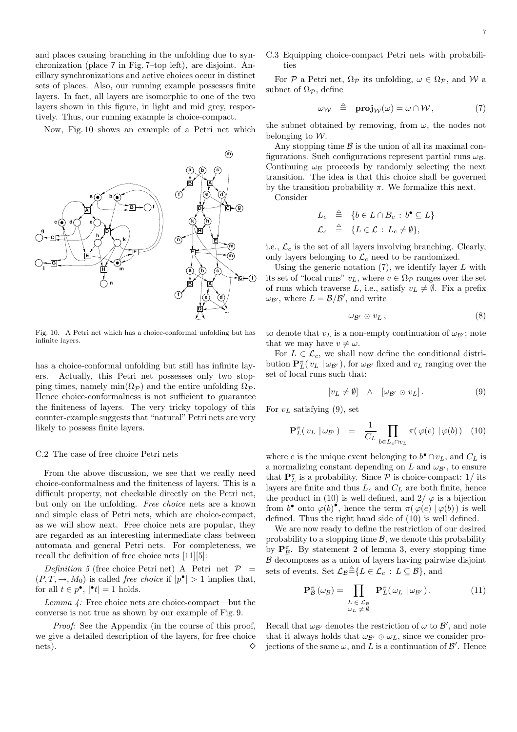and places causing branching in the unfolding due to synchronization (place 7 in Fig. 7–top left), are disjoint. Ancillary synchronizations and active choices occur in distinct sets of places. Also, our running example possesses finite layers. In fact, all layers are isomorphic to one of the two layers shown in this figure, in light and mid grey, respectively. Thus, our running example is choice-compact.

Now, Fig. 10 shows an example of a Petri net which



Fig. 10. A Petri net which has a choice-conformal unfolding but has infinite layers.

has a choice-conformal unfolding but still has infinite layers. Actually, this Petri net possesses only two stopping times, namely min $(\Omega_{\mathcal{P}})$  and the entire unfolding  $\Omega_{\mathcal{P}}$ . Hence choice-conformalness is not sufficient to guarantee the finiteness of layers. The very tricky topology of this counter-example suggests that "natural" Petri nets are very likely to possess finite layers.

#### C.2 The case of free choice Petri nets

From the above discussion, we see that we really need choice-conformalness and the finiteness of layers. This is a difficult property, not checkable directly on the Petri net, but only on the unfolding. Free choice nets are a known and simple class of Petri nets, which are choice-compact, as we will show next. Free choice nets are popular, they are regarded as an interesting intermediate class between automata and general Petri nets. For completeness, we recall the definition of free choice nets [11][5]:

Definition 5 (free choice Petri net) A Petri net  $P =$  $(P, T, \rightarrow, M_0)$  is called *free choice* if  $|p^{\bullet}| > 1$  implies that, for all  $t \in p^{\bullet}$ ,  $|\bullet t| = 1$  holds.

Lemma 4: Free choice nets are choice-compact—but the converse is not true as shown by our example of Fig. 9.

Proof: See the Appendix (in the course of this proof, we give a detailed description of the layers, for free choice nets).  $\Diamond$  C.3 Equipping choice-compact Petri nets with probabilities

For P a Petri net,  $\Omega_{\mathcal{P}}$  its unfolding,  $\omega \in \Omega_{\mathcal{P}}$ , and W a subnet of  $\Omega_{\mathcal{P}}$ , define

$$
\omega_{\mathcal{W}} \triangleq \mathbf{proj}_{\mathcal{W}}(\omega) = \omega \cap \mathcal{W}, \qquad (7)
$$

the subnet obtained by removing, from  $\omega$ , the nodes not belonging to  $W$ .

Any stopping time  $\beta$  is the union of all its maximal configurations. Such configurations represent partial runs  $\omega_B$ . Continuing  $\omega_B$  proceeds by randomly selecting the next transition. The idea is that this choice shall be governed by the transition probability  $\pi$ . We formalize this next. Consider

$$
L_c \triangleq \{b \in L \cap B_c : b^{\bullet} \subseteq L\}
$$
  

$$
\mathcal{L}_c \triangleq \{L \in \mathcal{L} : L_c \neq \emptyset\},\
$$

i.e.,  $\mathcal{L}_c$  is the set of all layers involving branching. Clearly, only layers belonging to  $\mathcal{L}_c$  need to be randomized.

Using the generic notation  $(7)$ , we identify layer L with its set of "local runs"  $v_L$ , where  $v \in \Omega_{\mathcal{P}}$  ranges over the set of runs which traverse L, i.e., satisfy  $v_L \neq \emptyset$ . Fix a prefix  $\omega_{\mathcal{B}'},$  where  $L = \mathcal{B}/\mathcal{B}'$ , and write

$$
\omega_{\mathcal{B}'} \odot v_L \,, \tag{8}
$$

to denote that  $v<sub>L</sub>$  is a non-empty continuation of  $\omega_{\mathcal{B}}$ ; note that we may have  $v \neq \omega$ .

For  $L \in \mathcal{L}_c$ , we shall now define the conditional distribution  $\mathbf{P}_{L}^{\pi}(v_L | \omega_{\mathcal{B}})$ , for  $\omega_{\mathcal{B}}$  fixed and  $v_L$  ranging over the set of local runs such that:

$$
[v_L \neq \emptyset] \quad \wedge \quad [\omega_{\mathcal{B}'} \odot v_L]. \tag{9}
$$

For  $v_L$  satisfying (9), set

$$
\mathbf{P}_L^{\pi}(v_L \mid \omega_{\mathcal{B}'}) = \frac{1}{C_L} \prod_{b \in L_c \cap v_L} \pi(\varphi(e) \mid \varphi(b)) \quad (10)
$$

where e is the unique event belonging to  $b^{\bullet} \cap v_L$ , and  $C_L$  is a normalizing constant depending on L and  $\omega_{\mathcal{B}}$ , to ensure that  ${\bf P}^{\pi}_L$  is a probability. Since  ${\mathcal P}$  is choice-compact:  $1/$  its layers are finite and thus  $L_c$  and  $C_L$  are both finite, hence the product in (10) is well defined, and  $2/\varphi$  is a bijection from  $b^{\bullet}$  onto  $\varphi(b)^{\bullet}$ , hence the term  $\pi(\varphi(e) | \varphi(b))$  is well defined. Thus the right hand side of (10) is well defined.

We are now ready to define the restriction of our desired probability to a stopping time  $\mathcal{B}$ , we denote this probability by  $\mathbf{P}_{\mathcal{B}}^{\pi}$ . By statement 2 of lemma 3, every stopping time  $\beta$  decomposes as a union of layers having pairwise disjoint sets of events. Set  $\mathcal{L}_B \triangleq \{L \in \mathcal{L}_c : L \subseteq \mathcal{B}\}$ , and

$$
\mathbf{P}_{\mathcal{B}}^{\pi}(\omega_{\mathcal{B}}) = \prod_{\substack{L \in \mathcal{L}_{\mathcal{B}} \\ \omega_L \neq \emptyset}} \mathbf{P}_{L}^{\pi}(\omega_{L} \mid \omega_{\mathcal{B}'}).
$$
(11)

Recall that  $\omega_{\mathcal{B}}$  denotes the restriction of  $\omega$  to  $\mathcal{B}'$ , and note that it always holds that  $\omega_{\mathcal{B}'} \odot \omega_L$ , since we consider projections of the same  $\omega$ , and L is a continuation of  $\mathcal{B}'$ . Hence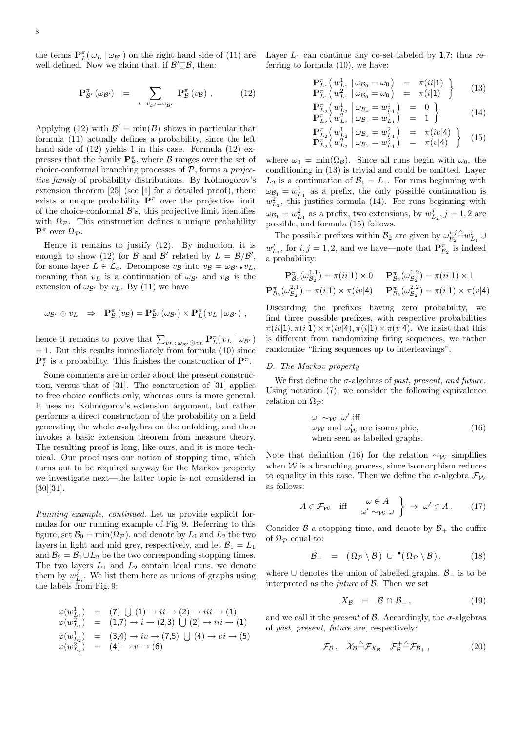the terms  $\mathbf{P}_{L}^{\pi}(\omega_{L} | \omega_{\mathcal{B'}})$  on the right hand side of (11) are well defined. Now we claim that, if  $\mathcal{B}' \sqsubseteq \mathcal{B}$ , then:

$$
\mathbf{P}_{\mathcal{B}'}^{\pi}(\omega_{\mathcal{B}'}) = \sum_{v : v_{\mathcal{B}'} = \omega_{\mathcal{B}'}} \mathbf{P}_{\mathcal{B}}^{\pi}(v_{\mathcal{B}}) , \qquad (12)
$$

Applying (12) with  $\mathcal{B}' = \min(B)$  shows in particular that formula (11) actually defines a probability, since the left hand side of  $(12)$  yields 1 in this case. Formula  $(12)$  expresses that the family  $\mathbf{P}_{\mathcal{B}}^{\pi},$  where  $\mathcal{B}$  ranges over the set of choice-conformal branching processes of  $P$ , forms a *projec*tive family of probability distributions. By Kolmogorov's extension theorem [25] (see [1] for a detailed proof), there exists a unique probability  $\mathbf{P}^{\pi}$  over the projective limit of the choice-conformal  $\mathcal{B}$ 's, this projective limit identifies with  $\Omega_{\mathcal{P}}$ . This construction defines a unique probability  $\mathbf{P}^{\pi}$  over  $\Omega_{\mathcal{P}}$ .

Hence it remains to justify (12). By induction, it is enough to show (12) for B and B' related by  $L = \mathcal{B}/\mathcal{B}'$ , for some layer  $L \in \mathcal{L}_c$ . Decompose  $v_{\mathcal{B}}$  into  $v_{\mathcal{B}} = \omega_{\mathcal{B}'} \bullet v_L$ , meaning that  $v_L$  is a continuation of  $\omega_{\mathcal{B}}$  and  $v_{\mathcal{B}}$  is the extension of  $\omega_{\mathcal{B}}$  by  $v_L$ . By (11) we have

$$
\omega_{\mathcal{B}'} \odot v_L \ \Rightarrow \ \mathbf{P}_{\mathcal{B}}^{\pi} \left( v_{\mathcal{B}} \right) = \mathbf{P}_{\mathcal{B}'}^{\pi} \left( \omega_{\mathcal{B}'} \right) \times \mathbf{P}_{L}^{\pi} \left( v_L \mid \omega_{\mathcal{B}'} \right) ,
$$

hence it remains to prove that  $\sum_{v_L \,:\, \omega_{\mathcal{B}'} \odot v_L} \mathbf{P}^{\pi}_L(v_L \mid \omega_{\mathcal{B}'})$  $= 1$ . But this results immediately from formula (10) since  ${\bf P}^{\pi}_L$  is a probability. This finishes the construction of  ${\bf P}^{\pi}$ .

Some comments are in order about the present construction, versus that of [31]. The construction of [31] applies to free choice conflicts only, whereas ours is more general. It uses no Kolmogorov's extension argument, but rather performs a direct construction of the probability on a field generating the whole  $\sigma$ -algebra on the unfolding, and then invokes a basic extension theorem from measure theory. The resulting proof is long, like ours, and it is more technical. Our proof uses our notion of stopping time, which turns out to be required anyway for the Markov property we investigate next—the latter topic is not considered in [30][31].

Running example, continued. Let us provide explicit formulas for our running example of Fig. 9. Referring to this figure, set  $\mathcal{B}_0 = \min(\Omega_{\mathcal{P}})$ , and denote by  $L_1$  and  $L_2$  the two layers in light and mid grey, respectively, and let  $B_1 = L_1$ and  $\mathcal{B}_2 = \mathcal{B}_1 \cup L_2$  be the two corresponding stopping times. The two layers  $L_1$  and  $L_2$  contain local runs, we denote them by  $w_{L_i}^j$ . We list them here as unions of graphs using the labels from Fig. 9:

$$
\varphi(w_{L_1}^1) = (7) \cup (1) \rightarrow ii \rightarrow (2) \rightarrow iii \rightarrow (1) \n\varphi(w_{L_1}^2) = (1,7) \rightarrow i \rightarrow (2,3) \cup (2) \rightarrow iii \rightarrow (1) \n\varphi(w_{L_2}^1) = (3,4) \rightarrow iv \rightarrow (7,5) \cup (4) \rightarrow vi \rightarrow (5) \n\varphi(w_{L_2}^2) = (4) \rightarrow v \rightarrow (6)
$$

Layer  $L_1$  can continue any co-set labeled by 1,7; thus referring to formula (10), we have:

$$
\mathbf{P}_{L_1}^{\pi} \left( w_{L_1}^1 \middle| \omega_{B_0} = \omega_0 \right) = \pi(i|1) \n\mathbf{P}_{L_1}^{\pi} \left( w_{L_1}^2 \middle| \omega_{B_0} = \omega_0 \right) = \pi(i|1)
$$
\n(13)

$$
\mathbf{P}_{L_2}^{\pi} \left( w_{L_2}^1 \middle| \omega_{B_1} = w_{L_1}^1 \right) = 0 \n\mathbf{P}_{L_2}^{\pi} \left( w_{L_2}^2 \middle| \omega_{B_1} = w_{L_1}^1 \right) = 1
$$
\n(14)

$$
\mathbf{P}_{L_2}^{\pi} \left( w_{L_2}^1 \middle| \omega_{\mathcal{B}_1} = w_{L_1}^2 \right) = \pi(iv|4) \n\mathbf{P}_{L_2}^{\pi} \left( w_{L_2}^2 \middle| \omega_{\mathcal{B}_1} = w_{L_1}^2 \right) = \pi(v|4) \quad (15)
$$

where  $\omega_0 = \min(\Omega_B)$ . Since all runs begin with  $\omega_0$ , the conditioning in (13) is trivial and could be omitted. Layer  $L_2$  is a continuation of  $\mathcal{B}_1 = L_1$ . For runs beginning with  $\omega_{\mathcal{B}_1} = w_{L_1}^1$  as a prefix, the only possible continuation is  $w_{L_2}^2$ , this justifies formula (14). For runs beginning with  $\omega_{\mathcal{B}_1} = w_{L_1}^2$  as a prefix, two extensions, by  $w_{L_2}^j, j = 1, 2$  are possible, and formula (15) follows.

The possible prefixes within  $\mathcal{B}_2$  are given by  $\omega_{\mathcal{B}_2}^{i,j} \triangleq w_{L_1}^i \cup$  $w_{L_2}^j$ , for  $i, j = 1, 2$ , and we have—note that  $\mathbf{P}_{\mathcal{B}_2}^{\pi}$  is indeed a probability:

$$
\mathbf{P}_{\mathcal{B}_2}^{\pi}(\omega_{\mathcal{B}_2}^{1,1}) = \pi(ii|1) \times 0 \qquad \mathbf{P}_{\mathcal{B}_2}^{\pi}(\omega_{\mathcal{B}_2}^{1,2}) = \pi(ii|1) \times 1
$$
\n
$$
\mathbf{P}_{\mathcal{B}_2}^{\pi}(\omega_{\mathcal{B}_2}^{2,1}) = \pi(i|1) \times \pi(iv|4) \qquad \mathbf{P}_{\mathcal{B}_2}^{\pi}(\omega_{\mathcal{B}_2}^{2,2}) = \pi(i|1) \times \pi(v|4)
$$

Discarding the prefixes having zero probability, we find three possible prefixes, with respective probabilities  $\pi(ii|1), \pi(i|1) \times \pi(iv|4), \pi(i|1) \times \pi(v|4)$ . We insist that this is different from randomizing firing sequences, we rather randomize "firing sequences up to interleavings".

#### D. The Markov property

We first define the  $\sigma$ -algebras of past, present, and future. Using notation (7), we consider the following equivalence relation on  $\Omega_{\mathcal{P}}$ :

$$
\omega \sim_{\mathcal{W}} \omega' \text{ iff}
$$
  
\n
$$
\omega_{\mathcal{W}} \text{ and } \omega'_{\mathcal{W}} \text{ are isomorphic,}
$$
  
\nwhen seen as labelled graphs. (16)

Note that definition (16) for the relation  $\sim_W$  simplifies when  $W$  is a branching process, since isomorphism reduces to equality in this case. Then we define the  $\sigma$ -algebra  $\mathcal{F}_{W}$ as follows:

$$
A \in \mathcal{F}_{\mathcal{W}} \quad \text{iff} \quad \begin{array}{c} \omega \in A \\ \omega' \sim_{\mathcal{W}} \omega \end{array} \bigg\} \Rightarrow \omega' \in A \, . \tag{17}
$$

Consider  $\beta$  a stopping time, and denote by  $\beta_+$  the suffix of  $\Omega_{\mathcal{P}}$  equal to:

$$
\mathcal{B}_{+} = (\Omega_{\mathcal{P}} \setminus \mathcal{B}) \cup \bullet (\Omega_{\mathcal{P}} \setminus \mathcal{B}), \qquad (18)
$$

where ∪ denotes the union of labelled graphs.  $\mathcal{B}_+$  is to be interpreted as the *future* of  $\beta$ . Then we set

$$
X_{\mathcal{B}} = \mathcal{B} \cap \mathcal{B}_{+}, \tag{19}
$$

and we call it the *present* of  $\beta$ . Accordingly, the  $\sigma$ -algebras of past, present, future are, respectively:

$$
\mathcal{F}_{\mathcal{B}}, \quad \mathcal{X}_{\mathcal{B}} \triangleq \mathcal{F}_{X_{\mathcal{B}}} \quad \mathcal{F}_{\mathcal{B}}^+ \triangleq \mathcal{F}_{\mathcal{B}_+} \,, \tag{20}
$$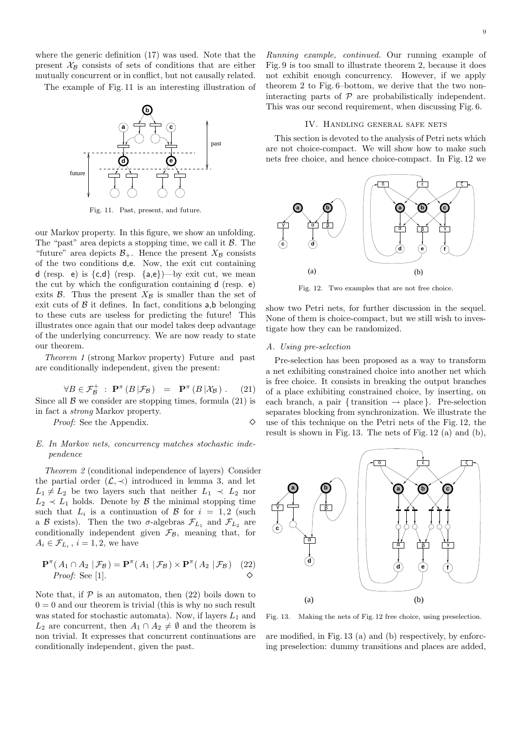where the generic definition (17) was used. Note that the present  $X_B$  consists of sets of conditions that are either mutually concurrent or in conflict, but not causally related.

The example of Fig. 11 is an interesting illustration of



Fig. 11. Past, present, and future.

our Markov property. In this figure, we show an unfolding. The "past" area depicts a stopping time, we call it  $\beta$ . The "future" area depicts  $\mathcal{B}_+$ . Hence the present  $X_{\mathcal{B}}$  consists of the two conditions d,e. Now, the exit cut containing d (resp. e) is  $\{c,d\}$  (resp.  $\{a,e\}$ )—by exit cut, we mean the cut by which the configuration containing d (resp. e) exits  $\beta$ . Thus the present  $X_{\beta}$  is smaller than the set of exit cuts of  $\beta$  it defines. In fact, conditions a,b belonging to these cuts are useless for predicting the future! This illustrates once again that our model takes deep advantage of the underlying concurrency. We are now ready to state our theorem.

Theorem 1 (strong Markov property) Future and past are conditionally independent, given the present:

$$
\forall B \in \mathcal{F}_{\mathcal{B}}^+ : \mathbf{P}^{\pi}(B|\mathcal{F}_{\mathcal{B}}) = \mathbf{P}^{\pi}(B|\mathcal{X}_{\mathcal{B}}).
$$
 (21)  
Since all  $\mathcal{B}$  we consider are stopping times, formula (21) is

in fact a strong Markov property.

*Proof:* See the Appendix. ◇

#### E. In Markov nets, concurrency matches stochastic independence

Theorem 2 (conditional independence of layers) Consider the partial order  $(\mathcal{L}, \prec)$  introduced in lemma 3, and let  $L_1 \neq L_2$  be two layers such that neither  $L_1 \prec L_2$  nor  $L_2 \prec L_1$  holds. Denote by  $\beta$  the minimal stopping time such that  $L_i$  is a continuation of  $\beta$  for  $i = 1, 2$  (such a B exists). Then the two  $\sigma$ -algebras  $\mathcal{F}_{L_1}$  and  $\mathcal{F}_{L_2}$  are conditionally independent given  $\mathcal{F}_{\mathcal{B}}$ , meaning that, for  $A_i \in \mathcal{F}_{L_i}$ ,  $i = 1, 2$ , we have

$$
\mathbf{P}^{\pi}(A_1 \cap A_2 | \mathcal{F}_{\mathcal{B}}) = \mathbf{P}^{\pi}(A_1 | \mathcal{F}_{\mathcal{B}}) \times \mathbf{P}^{\pi}(A_2 | \mathcal{F}_{\mathcal{B}})
$$
 (22)  
Proof: See [1].

Note that, if  $\mathcal P$  is an automaton, then (22) boils down to  $0 = 0$  and our theorem is trivial (this is why no such result was stated for stochastic automata). Now, if layers  $L_1$  and  $L_2$  are concurrent, then  $A_1 \cap A_2 \neq \emptyset$  and the theorem is non trivial. It expresses that concurrent continuations are conditionally independent, given the past.

Running example, continued. Our running example of Fig. 9 is too small to illustrate theorem 2, because it does not exhibit enough concurrency. However, if we apply theorem 2 to Fig. 6–bottom, we derive that the two noninteracting parts of  $P$  are probabilistically independent. This was our second requirement, when discussing Fig. 6.

#### IV. Handling general safe nets

This section is devoted to the analysis of Petri nets which are not choice-compact. We will show how to make such nets free choice, and hence choice-compact. In Fig. 12 we



Fig. 12. Two examples that are not free choice.

show two Petri nets, for further discussion in the sequel. None of them is choice-compact, but we still wish to investigate how they can be randomized.

#### A. Using pre-selection

Pre-selection has been proposed as a way to transform a net exhibiting constrained choice into another net which is free choice. It consists in breaking the output branches of a place exhibiting constrained choice, by inserting, on each branch, a pair { transition  $\rightarrow$  place }. Pre-selection separates blocking from synchronization. We illustrate the use of this technique on the Petri nets of the Fig. 12, the result is shown in Fig. 13. The nets of Fig. 12 (a) and (b),



Fig. 13. Making the nets of Fig. 12 free choice, using preselection.

are modified, in Fig. 13 (a) and (b) respectively, by enforcing preselection: dummy transitions and places are added,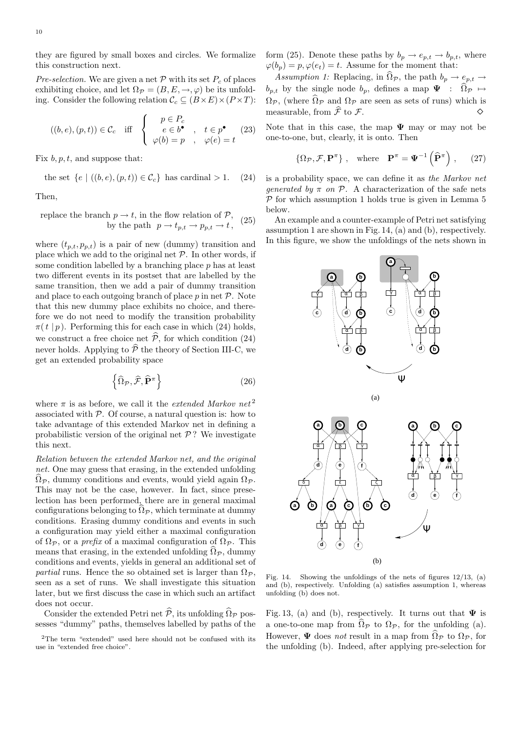they are figured by small boxes and circles. We formalize this construction next.

Pre-selection. We are given a net  $P$  with its set  $P_c$  of places exhibiting choice, and let  $\Omega_{\mathcal{P}} = (B, E, \rightarrow, \varphi)$  be its unfolding. Consider the following relation  $\mathcal{C}_c \subseteq (B \times E) \times (P \times T)$ :

$$
((b, e), (p, t)) \in \mathcal{C}_c \quad \text{iff} \quad\n\begin{cases}\n p \in P_c \\
e \in b^\bullet \\
\varphi(b) = p \quad , \quad \varphi(e) = t\n\end{cases} \tag{23}
$$

Fix  $b, p, t$ , and suppose that:

the set 
$$
\{e \mid ((b, e), (p, t)) \in C_c\}
$$
 has cardinal > 1. (24)

Then,

replace the branch 
$$
p \to t
$$
, in the flow relation of  $\mathcal{P}$ ,  
by the path  $p \to t_{p,t} \to p_{p,t} \to t$ , (25)

where  $(t_{p,t}, p_{p,t})$  is a pair of new (dummy) transition and place which we add to the original net  $P$ . In other words, if some condition labelled by a branching place  $p$  has at least two different events in its postset that are labelled by the same transition, then we add a pair of dummy transition and place to each outgoing branch of place  $p$  in net  $P$ . Note that this new dummy place exhibits no choice, and therefore we do not need to modify the transition probability  $\pi(t | p)$ . Performing this for each case in which (24) holds, we construct a free choice net  $\hat{\mathcal{P}}$ , for which condition (24) never holds. Applying to  $\widehat{\mathcal{P}}$  the theory of Section III-C, we get an extended probability space

$$
\left\{\widehat{\Omega}_{\mathcal{P}}, \widehat{\mathcal{F}}, \widehat{\mathbf{P}}^{\pi}\right\} \tag{26}
$$

where  $\pi$  is as before, we call it the *extended Markov net*<sup>2</sup> associated with  $P$ . Of course, a natural question is: how to take advantage of this extended Markov net in defining a probabilistic version of the original net  $\mathcal{P}$ ? We investigate this next.

Relation between the extended Markov net, and the original net. One may guess that erasing, in the extended unfolding  $\Omega$ <sub>P</sub>, dummy conditions and events, would yield again  $\Omega$ <sub>P</sub>. This may not be the case, however. In fact, since preselection has been performed, there are in general maximal configurations belonging to  $\Omega_{\mathcal{P}}$ , which terminate at dummy conditions. Erasing dummy conditions and events in such a configuration may yield either a maximal configuration of  $\Omega_{\mathcal{P}}$ , or a *prefix* of a maximal configuration of  $\Omega_{\mathcal{P}}$ . This means that erasing, in the extended unfolding  $\widehat{\Omega}_{\mathcal{P}}$ , dummy conditions and events, yields in general an additional set of partial runs. Hence the so obtained set is larger than  $\Omega_{\mathcal{P}}$ , seen as a set of runs. We shall investigate this situation later, but we first discuss the case in which such an artifact does not occur.

Consider the extended Petri net  $\widehat{\mathcal{P}}$ , its unfolding  $\widehat{\Omega}_{\mathcal{P}}$  possesses "dummy" paths, themselves labelled by paths of the form (25). Denote these paths by  $b_p \rightarrow e_{p,t} \rightarrow b_{p,t}$ , where  $\varphi(b_n) = p, \varphi(e_t) = t$ . Assume for the moment that:

Assumption 1: Replacing, in  $\Omega_{\mathcal{P}}$ , the path  $b_p \rightarrow e_{p,t} \rightarrow$  $b_{p,t}$  by the single node  $b_p$ , defines a map  $\Psi : \widehat{\Omega}_{\mathcal{P}} \mapsto$  $\Omega_{\mathcal{P}}$ , (where  $\widehat{\Omega}_{\mathcal{P}}$  and  $\Omega_{\mathcal{P}}$  are seen as sets of runs) which is measurable, from  $\widehat{\mathcal{F}}$  to  $\mathcal{F}$ .

Note that in this case, the map  $\Psi$  may or may not be one-to-one, but, clearly, it is onto. Then

$$
\{\Omega_{\mathcal{P}}, \mathcal{F}, \mathbf{P}^{\pi}\}, \quad \text{where} \quad \mathbf{P}^{\pi} = \mathbf{\Psi}^{-1} \left(\widehat{\mathbf{P}}^{\pi}\right), \qquad (27)
$$

is a probability space, we can define it as the Markov net *generated by*  $\pi$  *on*  $\mathcal{P}$ . A characterization of the safe nets  $P$  for which assumption 1 holds true is given in Lemma 5 below.

An example and a counter-example of Petri net satisfying assumption 1 are shown in Fig. 14, (a) and (b), respectively. In this figure, we show the unfoldings of the nets shown in



Fig. 14. Showing the unfoldings of the nets of figures 12/13, (a) and (b), respectively. Unfolding (a) satisfies assumption 1, whereas unfolding (b) does not.

Fig. 13, (a) and (b), respectively. It turns out that  $\Psi$  is a one-to-one map from  $\Omega_{\mathcal{P}}$  to  $\Omega_{\mathcal{P}}$ , for the unfolding (a). However,  $\Psi$  does not result in a map from  $\widehat{\Omega}_{\mathcal{P}}$  to  $\Omega_{\mathcal{P}}$ , for the unfolding (b). Indeed, after applying pre-selection for

<sup>2</sup>The term "extended" used here should not be confused with its use in "extended free choice".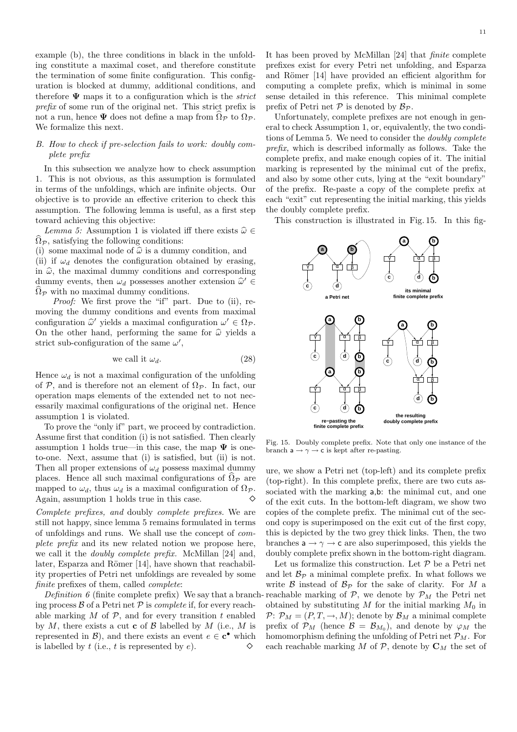example (b), the three conditions in black in the unfolding constitute a maximal coset, and therefore constitute the termination of some finite configuration. This configuration is blocked at dummy, additional conditions, and therefore  $\Psi$  maps it to a configuration which is the *strict* prefix of some run of the original net. This strict prefix is not a run, hence  $\Psi$  does not define a map from  $\Omega_{\mathcal{P}}$  to  $\Omega_{\mathcal{P}}$ . We formalize this next.

#### B. How to check if pre-selection fails to work: doubly complete prefix

In this subsection we analyze how to check assumption 1. This is not obvious, as this assumption is formulated in terms of the unfoldings, which are infinite objects. Our objective is to provide an effective criterion to check this assumption. The following lemma is useful, as a first step toward achieving this objective:

Lemma 5: Assumption 1 is violated iff there exists  $\hat{\omega} \in$  $\Omega_{\mathcal{P}}$ , satisfying the following conditions:

(i) some maximal node of  $\hat{\omega}$  is a dummy condition, and (ii) if  $\omega_d$  denotes the configuration obtained by erasing,

in  $\hat{\omega}$ , the maximal dummy conditions and corresponding dummy events, then  $\omega_d$  possesses another extension  $\hat{\omega}' \in \hat{\Omega}$  $\Omega_{\mathcal{P}}$  with no maximal dummy conditions.

Proof: We first prove the "if" part. Due to (ii), removing the dummy conditions and events from maximal configuration  $\hat{\omega}'$  yields a maximal configuration  $\omega' \in \Omega_{\mathcal{P}}$ . On the other hand, performing the same for  $\hat{\omega}$  yields a strict sub-configuration of the same  $\omega'$ ,

we call it 
$$
\omega_d
$$
. (28)

Hence  $\omega_d$  is not a maximal configuration of the unfolding of P, and is therefore not an element of  $\Omega_{\mathcal{P}}$ . In fact, our operation maps elements of the extended net to not necessarily maximal configurations of the original net. Hence assumption 1 is violated.

To prove the "only if" part, we proceed by contradiction. Assume first that condition (i) is not satisfied. Then clearly assumption 1 holds true—in this case, the map  $\Psi$  is oneto-one. Next, assume that (i) is satisfied, but (ii) is not. Then all proper extensions of  $\omega_d$  possess maximal dummy places. Hence all such maximal configurations of  $\hat{\Omega}_{\mathcal{P}}$  are mapped to  $\omega_d$ , thus  $\omega_d$  is a maximal configuration of  $\Omega_{\mathcal{P}}$ . Again, assumption <sup>1</sup> holds true in this case.

Complete prefixes, and doubly complete prefixes. We are still not happy, since lemma 5 remains formulated in terms of unfoldings and runs. We shall use the concept of complete prefix and its new related notion we propose here, we call it the doubly complete prefix. McMillan [24] and, later, Esparza and Römer [14], have shown that reachability properties of Petri net unfoldings are revealed by some finite prefixes of them, called complete:

Definition  $\theta$  (finite complete prefix) We say that a branch ing process  $\beta$  of a Petri net  $\beta$  is *complete* if, for every reachable marking  $M$  of  $P$ , and for every transition  $t$  enabled by  $M$ , there exists a cut **c** of  $\beta$  labelled by  $M$  (i.e.,  $M$  is represented in  $\mathcal{B}$ ), and there exists an event  $e \in \mathbf{c}^{\bullet}$  which is labelled by t (i.e., t is represented by e).  $\diamond$ 

It has been proved by McMillan [24] that finite complete prefixes exist for every Petri net unfolding, and Esparza and Römer [14] have provided an efficient algorithm for computing a complete prefix, which is minimal in some sense detailed in this reference. This minimal complete prefix of Petri net  $P$  is denoted by  $B_{\mathcal{P}}$ .

Unfortunately, complete prefixes are not enough in general to check Assumption 1, or, equivalently, the two conditions of Lemma 5. We need to consider the doubly complete prefix, which is described informally as follows. Take the complete prefix, and make enough copies of it. The initial marking is represented by the minimal cut of the prefix, and also by some other cuts, lying at the "exit boundary" of the prefix. Re-paste a copy of the complete prefix at each "exit" cut representing the initial marking, this yields the doubly complete prefix.

This construction is illustrated in Fig. 15. In this fig-



Fig. 15. Doubly complete prefix. Note that only one instance of the branch  $a \rightarrow \gamma \rightarrow c$  is kept after re-pasting.

ure, we show a Petri net (top-left) and its complete prefix (top-right). In this complete prefix, there are two cuts associated with the marking  $a,b$ : the minimal cut, and one of the exit cuts. In the bottom-left diagram, we show two copies of the complete prefix. The minimal cut of the second copy is superimposed on the exit cut of the first copy, this is depicted by the two grey thick links. Then, the two branches  $a \rightarrow \gamma \rightarrow c$  are also superimposed, this yields the doubly complete prefix shown in the bottom-right diagram.

Let us formalize this construction. Let  $P$  be a Petri net and let  $\mathcal{B}_{\mathcal{P}}$  a minimal complete prefix. In what follows we write  $\beta$  instead of  $\beta_{\mathcal{P}}$  for the sake of clarity. For M a reachable marking of  $P$ , we denote by  $P_M$  the Petri net obtained by substituting  $M$  for the initial marking  $M_0$  in  $P: \mathcal{P}_M = (P, T, \rightarrow, M);$  denote by  $\mathcal{B}_M$  a minimal complete prefix of  $\mathcal{P}_M$  (hence  $\mathcal{B} = \mathcal{B}_{M_0}$ ), and denote by  $\varphi_M$  the homomorphism defining the unfolding of Petri net  $\mathcal{P}_M$ . For each reachable marking M of  $P$ , denote by  $C_M$  the set of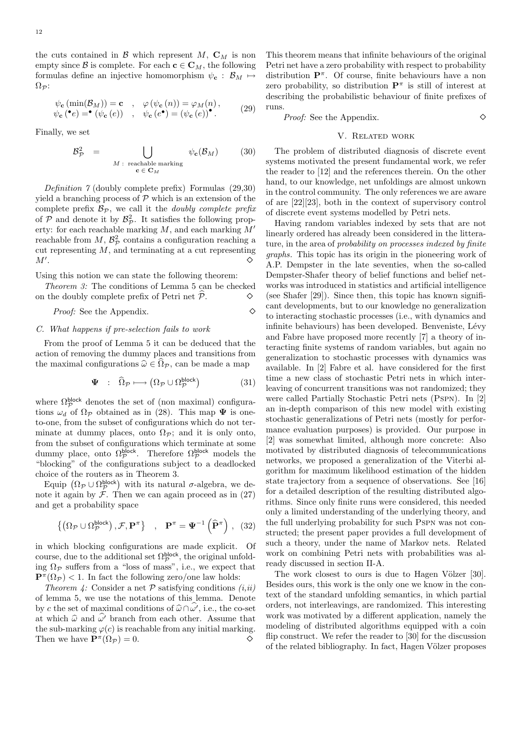the cuts contained in  $\mathcal{B}$  which represent  $M$ ,  $\mathbf{C}_M$  is non empty since B is complete. For each  $c \in \mathbb{C}_M$ , the following formulas define an injective homomorphism  $\psi_{\mathbf{c}} : \mathcal{B}_M \mapsto$  $\Omega_{\mathcal{P}}$ :

$$
\psi_{\mathbf{c}}(\min(\mathcal{B}_M)) = \mathbf{c} , \quad \varphi(\psi_{\mathbf{c}}(n)) = \varphi_M(n) ,
$$
  

$$
\psi_{\mathbf{c}}({\bf e}) = {\bf e}(\psi_{\mathbf{c}}(e)) , \quad \psi_{\mathbf{c}}(e^{\bullet}) = (\psi_{\mathbf{c}}(e))^{\bullet} .
$$
 (29)

Finally, we set

$$
\mathcal{B}_{\mathcal{P}}^2 = \bigcup_{M \, : \, \text{ reachable marking}} \psi_{\mathbf{c}}(\mathcal{B}_M) \qquad (30)
$$

Definition 7 (doubly complete prefix) Formulas (29,30) yield a branching process of  $P$  which is an extension of the complete prefix  $\mathcal{B}_{\mathcal{P}}$ , we call it the *doubly complete prefix* of  $P$  and denote it by  $\mathcal{B}_P^2$ . It satisfies the following property: for each reachable marking  $M$ , and each marking  $M'$ reachable from  $M$ ,  $\mathcal{B}_{\mathcal{P}}^2$  contains a configuration reaching a cut representing  $M$ , and terminating at a cut representing  $M^{\prime}$ .  $\ddot{\phantom{1}}$ .

Using this notion we can state the following theorem:

Theorem 3: The conditions of Lemma 5 can be checked on the doubly complete prefix of Petri net  $\mathcal{P}$ .

*Proof:* See the Appendix.  $\diamond$ 

#### C. What happens if pre-selection fails to work

From the proof of Lemma 5 it can be deduced that the action of removing the dummy places and transitions from the maximal configurations  $\hat{\omega} \in \Omega_{\mathcal{P}}$ , can be made a map

$$
\mathbf{\Psi} \quad : \quad \widehat{\Omega}_{\mathcal{P}} \longmapsto \left( \Omega_{\mathcal{P}} \cup \Omega_{\mathcal{P}}^{\text{block}} \right) \tag{31}
$$

where  $\Omega_{\mathcal{P}}^{\text{block}}$  denotes the set of (non maximal) configurations  $\omega_d$  of  $\Omega_{\mathcal{P}}$  obtained as in (28). This map  $\Psi$  is oneto-one, from the subset of configurations which do not terminate at dummy places, onto  $\Omega_{\mathcal{P}}$ ; and it is only onto, from the subset of configurations which terminate at some dummy place, onto  $\Omega_{\mathcal{P}}^{\text{block}}$ . Therefore  $\Omega_{\mathcal{P}}^{\text{block}}$  models the "blocking" of the configurations subject to a deadlocked choice of the routers as in Theorem 3.

Equip  $(\Omega_{\mathcal{P}} \cup \Omega_{\mathcal{P}}^{\text{block}})$  with its natural  $\sigma$ -algebra, we denote it again by  $\mathcal F$ . Then we can again proceed as in (27) and get a probability space

$$
\{(\Omega_{\mathcal{P}} \cup \Omega_{\mathcal{P}}^{\text{block}}), \mathcal{F}, \mathbf{P}^{\pi}\}\ , \ \mathbf{P}^{\pi} = \mathbf{\Psi}^{-1}(\widehat{\mathbf{P}}^{\pi}), (32)
$$

in which blocking configurations are made explicit. Of course, due to the additional set  $\Omega_{\mathcal{P}}^{\text{block}}$ , the original unfolding  $\Omega_{\mathcal{P}}$  suffers from a "loss of mass", i.e., we expect that  $\mathbf{P}^{\pi}(\Omega_{\mathcal{P}}) < 1$ . In fact the following zero/one law holds:

Theorem 4: Consider a net  $P$  satisfying conditions  $(i,ii)$ of lemma 5, we use the notations of this lemma. Denote by c the set of maximal conditions of  $\widehat{\omega} \cap \widehat{\omega}$ , i.e., the co-set at which  $\hat{\omega}$  and  $\hat{\omega'}$  branch from each other. Assume that the sub-marking  $\varphi(c)$  is reachable from any initial marking. Then we have  $\mathbf{P}^{\pi}(\Omega_{\mathcal{P}}) = 0.$ 

This theorem means that infinite behaviours of the original Petri net have a zero probability with respect to probability distribution  $\mathbf{P}^{\pi}$ . Of course, finite behaviours have a non zero probability, so distribution  $\mathbf{P}^{\pi}$  is still of interest at describing the probabilistic behaviour of finite prefixes of runs.

Proof: See the Appendix.

#### V. Related work

The problem of distributed diagnosis of discrete event systems motivated the present fundamental work, we refer the reader to [12] and the references therein. On the other hand, to our knowledge, net unfoldings are almost unkown in the control community. The only references we are aware of are [22][23], both in the context of supervisory control of discrete event systems modelled by Petri nets.

Having random variables indexed by sets that are not linearly ordered has already been considered in the litterature, in the area of probability on processes indexed by finite graphs. This topic has its origin in the pioneering work of A.P. Dempster in the late seventies, when the so-called Dempster-Shafer theory of belief functions and belief networks was introduced in statistics and artificial intelligence (see Shafer [29]). Since then, this topic has known significant developments, but to our knowledge no generalization to interacting stochastic processes (i.e., with dynamics and infinite behaviours) has been developed. Benveniste, Lévy and Fabre have proposed more recently [7] a theory of interacting finite systems of random variables, but again no generalization to stochastic processes with dynamics was available. In [2] Fabre et al. have considered for the first time a new class of stochastic Petri nets in which interleaving of concurrent transitions was not randomized; they were called Partially Stochastic Petri nets (Pspn). In [2] an in-depth comparison of this new model with existing stochastic generalizations of Petri nets (mostly for performance evaluation purposes) is provided. Our purpose in [2] was somewhat limited, although more concrete: Also motivated by distributed diagnosis of telecommunications networks, we proposed a generalization of the Viterbi algorithm for maximum likelihood estimation of the hidden state trajectory from a sequence of observations. See [16] for a detailed description of the resulting distributed algorithms. Since only finite runs were considered, this needed only a limited understanding of the underlying theory, and the full underlying probability for such Pspn was not constructed; the present paper provides a full development of such a theory, under the name of Markov nets. Related work on combining Petri nets with probabilities was already discussed in section II-A.

The work closest to ours is due to Hagen Völzer [30]. Besides ours, this work is the only one we know in the context of the standard unfolding semantics, in which partial orders, not interleavings, are randomized. This interesting work was motivated by a different application, namely the modeling of distributed algorithms equipped with a coin flip construct. We refer the reader to [30] for the discussion of the related bibliography. In fact, Hagen Völzer proposes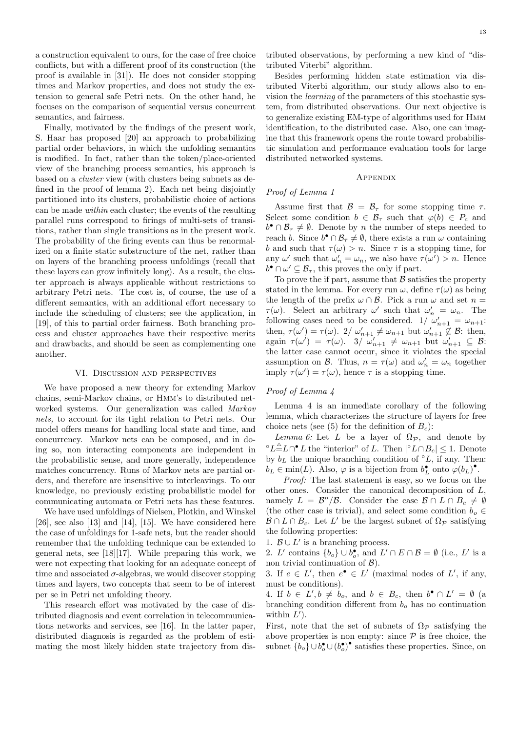a construction equivalent to ours, for the case of free choice conflicts, but with a different proof of its construction (the proof is available in [31]). He does not consider stopping times and Markov properties, and does not study the extension to general safe Petri nets. On the other hand, he focuses on the comparison of sequential versus concurrent semantics, and fairness.

Finally, motivated by the findings of the present work, S. Haar has proposed [20] an approach to probabilizing partial order behaviors, in which the unfolding semantics is modified. In fact, rather than the token/place-oriented view of the branching process semantics, his approach is based on a cluster view (with clusters being subnets as defined in the proof of lemma 2). Each net being disjointly partitioned into its clusters, probabilistic choice of actions can be made within each cluster; the events of the resulting parallel runs correspond to firings of multi-sets of transitions, rather than single transitions as in the present work. The probability of the firing events can thus be renormalized on a finite static substructure of the net, rather than on layers of the branching process unfoldings (recall that these layers can grow infinitely long). As a result, the cluster approach is always applicable without restrictions to arbitrary Petri nets. The cost is, of course, the use of a different semantics, with an additional effort necessary to include the scheduling of clusters; see the application, in [19], of this to partial order fairness. Both branching process and cluster approaches have their respective merits and drawbacks, and should be seen as complementing one another.

#### VI. Discussion and perspectives

We have proposed a new theory for extending Markov chains, semi-Markov chains, or Hmm's to distributed networked systems. Our generalization was called Markov nets, to account for its tight relation to Petri nets. Our model offers means for handling local state and time, and concurrency. Markov nets can be composed, and in doing so, non interacting components are independent in the probabilistic sense, and more generally, independence matches concurrency. Runs of Markov nets are partial orders, and therefore are insensitive to interleavings. To our knowledge, no previously existing probabilistic model for communicating automata or Petri nets has these features.

We have used unfoldings of Nielsen, Plotkin, and Winskel  $[26]$ , see also  $[13]$  and  $[14]$ ,  $[15]$ . We have considered here the case of unfoldings for 1-safe nets, but the reader should remember that the unfolding technique can be extended to general nets, see [18][17]. While preparing this work, we were not expecting that looking for an adequate concept of time and associated  $\sigma$ -algebras, we would discover stopping times and layers, two concepts that seem to be of interest per se in Petri net unfolding theory.

This research effort was motivated by the case of distributed diagnosis and event correlation in telecommunications networks and services, see [16]. In the latter paper, distributed diagnosis is regarded as the problem of estimating the most likely hidden state trajectory from distributed observations, by performing a new kind of "distributed Viterbi" algorithm.

Besides performing hidden state estimation via distributed Viterbi algorithm, our study allows also to envision the learning of the parameters of this stochastic system, from distributed observations. Our next objective is to generalize existing EM-type of algorithms used for Hmm identification, to the distributed case. Also, one can imagine that this framework opens the route toward probabilistic simulation and performance evaluation tools for large distributed networked systems.

#### **APPENDIX**

#### Proof of Lemma 1

Assume first that  $\mathcal{B} = \mathcal{B}_{\tau}$  for some stopping time  $\tau$ . Select some condition  $b \in \mathcal{B}_{\tau}$  such that  $\varphi(b) \in P_c$  and  $b^{\bullet} \cap \mathcal{B}_{\tau} \neq \emptyset$ . Denote by n the number of steps needed to reach b. Since  $b^{\bullet} \cap \mathcal{B}_{\tau} \neq \emptyset$ , there exists a run  $\omega$  containing b and such that  $\tau(\omega) > n$ . Since  $\tau$  is a stopping time, for any  $\omega'$  such that  $\omega'_n = \omega_n$ , we also have  $\tau(\omega') > n$ . Hence  $b^{\bullet} \cap \omega' \subseteq \mathcal{B}_{\tau}$ , this proves the only if part.

To prove the if part, assume that  $\beta$  satisfies the property stated in the lemma. For every run  $\omega$ , define  $\tau(\omega)$  as being the length of the prefix  $\omega \cap \mathcal{B}$ . Pick a run  $\omega$  and set  $n =$  $\tau(\omega)$ . Select an arbitrary  $\omega'$  such that  $\omega'_n = \omega_n$ . The following cases need to be considered.  $1/\omega'_{n+1} = \omega_{n+1}$ : then,  $\tau(\omega') = \tau(\omega)$ .  $2/\omega'_{n+1} \neq \omega_{n+1}$  but  $\omega'_{n+1} \nsubseteq \mathcal{B}$ : then, again  $\tau(\omega') = \tau(\omega)$ . 3/  $\omega'_{n+1} \neq \omega_{n+1}$  but  $\omega'_{n+1} \subseteq \mathcal{B}$ : the latter case cannot occur, since it violates the special assumption on  $\mathcal{B}$ . Thus,  $n = \tau(\omega)$  and  $\omega'_n = \omega_n$  together imply  $\tau(\omega') = \tau(\omega)$ , hence  $\tau$  is a stopping time.

#### Proof of Lemma 4

Lemma 4 is an immediate corollary of the following lemma, which characterizes the structure of layers for free choice nets (see (5) for the definition of  $B<sub>c</sub>$ ):

Lemma 6: Let L be a layer of  $\Omega_{\mathcal{P}}$ , and denote by ° $L \triangleq L \cap^{\bullet} L$  the "interior" of L. Then  $|^{\circ} L \cap B_c| \leq 1$ . Denote by  $b_L$  the unique branching condition of  $\circ L$ , if any. Then:  $b_L \in \min(L)$ . Also,  $\varphi$  is a bijection from  $b_L^{\bullet}$  onto  $\varphi(b_L)^{\bullet}$ .

Proof: The last statement is easy, so we focus on the other ones. Consider the canonical decomposition of L, namely  $L = \mathcal{B}''/\mathcal{B}$ . Consider the case  $\mathcal{B} \cap L \cap B_c \neq \emptyset$ (the other case is trivial), and select some condition  $b_o \in$  $\mathcal{B} \cap L \cap B_c$ . Let L' be the largest subnet of  $\Omega_{\mathcal{P}}$  satisfying the following properties:

1.  $\mathcal{B} \cup L'$  is a branching process.

2. L' contains  $\{b_o\} \cup b_o^{\bullet}$ , and  $L' \cap E \cap B = \emptyset$  (i.e., L' is a non trivial continuation of  $\mathcal{B}$ ).

3. If  $e \in L'$ , then  $e^{\bullet} \in L'$  (maximal nodes of  $L'$ , if any, must be conditions).

4. If  $b \in L', b \neq b_o$ , and  $b \in B_c$ , then  $b^{\bullet} \cap L' = \emptyset$  (a branching condition different from  $b<sub>o</sub>$  has no continuation within  $L'$ ).

First, note that the set of subnets of  $\Omega_{\mathcal{P}}$  satisfying the above properties is non empty: since  $P$  is free choice, the subnet  $\{b_o\} \cup b_o^{\bullet} \cup (b_o^{\bullet})^{\bullet}$  satisfies these properties. Since, on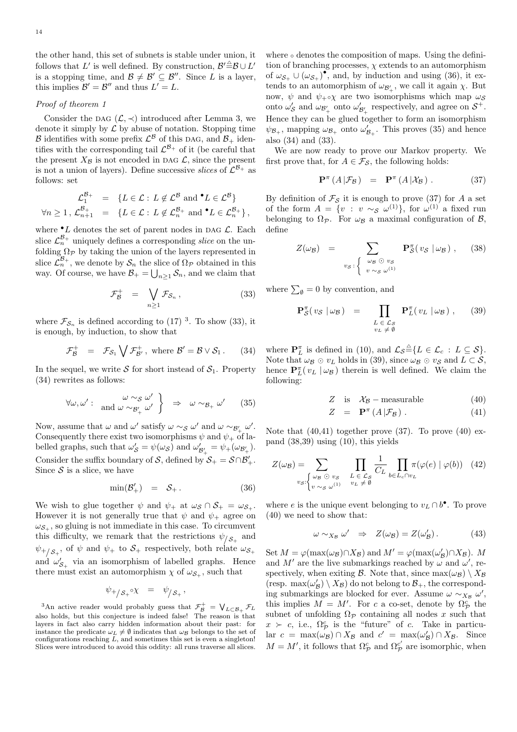the other hand, this set of subnets is stable under union, it follows that L' is well defined. By construction,  $\mathcal{B}'^{\triangleq}\mathcal{B} \cup L'$ is a stopping time, and  $\mathcal{B} \neq \mathcal{B}' \subseteq \mathcal{B}''$ . Since L is a layer, this implies  $\mathcal{B}' = \mathcal{B}''$  and thus  $L' = L$ .

#### Proof of theorem 1

Consider the DAG  $(\mathcal{L}, \prec)$  introduced after Lemma 3, we denote it simply by  $\mathcal L$  by abuse of notation. Stopping time  $\mathcal B$  identifies with some prefix  $\mathcal L^{\mathcal B}$  of this DAG, and  $\mathcal B_+$  identifies with the corresponding tail  $\mathcal{L}^{B_+}$  of it (be careful that the present  $X_{\beta}$  is not encoded in DAG  $\mathcal{L}$ , since the present is not a union of layers). Define successive *slices* of  $\mathcal{L}^{\mathcal{B}_+}$  as follows: set

$$
\mathcal{L}_1^{\mathcal{B}_+} = \{ L \in \mathcal{L} : L \notin \mathcal{L}^{\mathcal{B}} \text{ and } {}^{\bullet}L \in \mathcal{L}^{\mathcal{B}} \}
$$
  

$$
\forall n \ge 1, \mathcal{L}_{n+1}^{\mathcal{B}_+} = \{ L \in \mathcal{L} : L \notin \mathcal{L}_n^{\mathcal{B}_+} \text{ and } {}^{\bullet}L \in \mathcal{L}_n^{\mathcal{B}_+} \},
$$

where  $\bullet$  L denotes the set of parent nodes in DAG L. Each slice  $\mathcal{L}_n^{\mathcal{B}_+}$  uniquely defines a corresponding *slice* on the unfolding  $\Omega_{\mathcal{P}}$  by taking the union of the layers represented in slice  $\mathcal{L}_n^{\mathcal{B}_+}$ , we denote by  $\mathcal{S}_n$  the slice of  $\Omega_{\mathcal{P}}$  obtained in this way. Of course, we have  $\mathcal{B}_+ = \bigcup_{n \geq 1} \mathcal{S}_n$ , and we claim that

$$
\mathcal{F}_{\mathcal{B}}^+ = \bigvee_{n \ge 1} \mathcal{F}_{\mathcal{S}_n},\tag{33}
$$

where  $\mathcal{F}_{\mathcal{S}_n}$  is defined according to (17)<sup>3</sup>. To show (33), it is enough, by induction, to show that

$$
\mathcal{F}_{\mathcal{B}}^+ = \mathcal{F}_{\mathcal{S}_1} \bigvee \mathcal{F}_{\mathcal{B}'}^+, \text{ where } \mathcal{B}' = \mathcal{B} \vee \mathcal{S}_1. \qquad (34)
$$

In the sequel, we write S for short instead of  $S_1$ . Property (34) rewrites as follows:

$$
\forall \omega, \omega': \quad \text{and} \quad \omega \sim_{\mathcal{B}'_+} \omega' \quad \right\} \quad \Rightarrow \quad \omega \sim_{\mathcal{B}_+} \omega' \qquad (35)
$$

Now, assume that  $\omega$  and  $\omega'$  satisfy  $\omega \sim_{\mathcal{S}} \omega'$  and  $\omega \sim_{\mathcal{B}'_+} \omega'$ . Consequently there exist two isomorphisms  $\psi$  and  $\psi_+$  of labelled graphs, such that  $\omega'_{\mathcal{S}} = \psi(\omega_{\mathcal{S}})$  and  $\omega'_{\mathcal{B}'_+} = \psi_+(\omega_{\mathcal{B}'_+})$ . Consider the suffix boundary of S, defined by  $S_+ = S \cap \mathcal{B}'_+$ . Since  $S$  is a slice, we have

$$
\min(\mathcal{B}'_+) = \mathcal{S}_+ \,. \tag{36}
$$

We wish to glue together  $\psi$  and  $\psi_+$  at  $\omega_S \cap S_+ = \omega_{S_+}$ . However it is not generally true that  $\psi$  and  $\psi_+$  agree on  $\omega_{\mathcal{S}_+}$ , so gluing is not immediate in this case. To circumvent this difficulty, we remark that the restrictions  $\psi_{\beta}$  and  $\psi_{+/S_+}$ , of  $\psi$  and  $\psi_+$  to  $S_+$  respectively, both relate  $\omega_{S_+}$ and  $\omega'_{\mathcal{S}_+}$  via an isomorphism of labelled graphs. Hence there must exist an automorphism  $\chi$  of  $\omega_{\mathcal{S}_+}$ , such that

$$
\psi_{+/\mathcal{S}_+} \circ \chi = \psi_{/\mathcal{S}_+},
$$

<sup>3</sup>An active reader would probably guess that  $\mathcal{F}_{\mathcal{B}}^+ = \bigvee_{L \subset \mathcal{B}_+} \mathcal{F}_L$  the also holds, but this conjecture is indeed false! The reason is that layers in fact also carry hidden information about their past: for instance the predicate  $\omega_L \neq \emptyset$  indicates that  $\omega_B$  belongs to the set of configurations reaching  $L$ , and sometimes this set is even a singleton! Slices were introduced to avoid this oddity: all runs traverse all slices.

where ∘ denotes the composition of maps. Using the definition of branching processes,  $\chi$  extends to an automorphism of  $\omega_{\mathcal{S}_+} \cup (\omega_{\mathcal{S}_+})^{\bullet}$ , and, by induction and using (36), it extends to an automorphism of  $\omega_{\mathcal{B}'_+}$ , we call it again  $\chi$ . But now,  $\psi$  and  $\psi_{+} \circ \chi$  are two isomorphisms which map  $\omega_{\mathcal{S}}$ onto  $\omega'_{\mathcal{S}}$  and  $\omega_{\mathcal{B}'_+}$  onto  $\omega'_{\mathcal{B}'_+}$  respectively, and agree on  $\mathcal{S}^+$ . Hence they can be glued together to form an isomorphism  $\psi_{\mathcal{B}_+}$ , mapping  $\omega_{\mathcal{B}_+}$  onto  $\omega'_{\mathcal{B}_+}$ . This proves (35) and hence also (34) and (33).

We are now ready to prove our Markov property. We first prove that, for  $A \in \mathcal{F}_{\mathcal{S}}$ , the following holds:

$$
\mathbf{P}^{\pi}\left(A\left|\mathcal{F}_{\mathcal{B}}\right\right) = \mathbf{P}^{\pi}\left(A\left|\mathcal{X}_{\mathcal{B}}\right\right). \tag{37}
$$

By definition of  $\mathcal{F}_{\mathcal{S}}$  it is enough to prove (37) for A a set of the form  $A = \{v : v \sim_S \omega^{(1)}\}$ , for  $\omega^{(1)}$  a fixed run belonging to  $\Omega_{\mathcal{P}}$ . For  $\omega_{\mathcal{B}}$  a maximal configuration of  $\mathcal{B}$ , define

$$
Z(\omega_{\mathcal{B}}) = \sum_{v_{\mathcal{S}}:\left\{\begin{array}{l}\omega_{\mathcal{B}}\odot v_{\mathcal{S}}\\v\sim s\omega^{(1)}\end{array}\right.} \mathbf{P}_{\mathcal{S}}^{\pi}(v_{\mathcal{S}}\mid\omega_{\mathcal{B}}), \quad (38)
$$

where  $\sum_{\emptyset} = 0$  by convention, and

$$
\mathbf{P}_{\mathcal{S}}^{\pi}(v_{\mathcal{S}} \mid \omega_{\mathcal{B}}) = \prod_{\substack{L \in \mathcal{L}_{\mathcal{S}} \\ v_L \neq \emptyset}} \mathbf{P}_{L}^{\pi}(v_L \mid \omega_{\mathcal{B}}), \quad (39)
$$

where  $\mathbf{P}_{L}^{\pi}$  is defined in (10), and  $\mathcal{L}_{\mathcal{S}} \stackrel{\triangle}{=} \{L \in \mathcal{L}_{c} : L \subseteq \mathcal{S}\}.$ Note that  $\omega_{\mathcal{B}} \odot v_L$  holds in (39), since  $\omega_{\mathcal{B}} \odot v_{\mathcal{S}}$  and  $L \subset \mathcal{S}$ , hence  $\mathbf{P}_{L}^{\pi}(v_L | \omega_{\mathcal{B}})$  therein is well defined. We claim the following:

$$
Z \quad \text{is} \quad \mathcal{X}_{\mathcal{B}} - \text{measurable} \tag{40}
$$

$$
Z = \mathbf{P}^{\pi} \left( A \middle| \mathcal{F}_{\mathcal{B}} \right). \tag{41}
$$

Note that  $(40,41)$  together prove  $(37)$ . To prove  $(40)$  expand (38,39) using (10), this yields

$$
Z(\omega_{\mathcal{B}}) = \sum_{v_{\mathcal{S}}:\begin{cases} \omega_{\mathcal{B}} \odot v_{\mathcal{S}} & \prod_{L \in \mathcal{L}_{\mathcal{S}}} \frac{1}{C_L} \prod_{b \in L_c \cap v_L} \pi(\varphi(e) \mid \varphi(b)) & (42) \\ v \sim_{\mathcal{S}} \omega^{(1)} & v_L \neq \emptyset \end{cases}
$$

where e is the unique event belonging to  $v_L \cap b^{\bullet}$ . To prove (40) we need to show that:

$$
\omega \sim_{X_{\mathcal{B}}} \omega' \Rightarrow Z(\omega_{\mathcal{B}}) = Z(\omega_{\mathcal{B}}'). \tag{43}
$$

Set  $M = \varphi(\max(\omega_B) \cap X_B)$  and  $M' = \varphi(\max(\omega_B') \cap X_B)$ . M and M' are the live submarkings reached by  $\omega$  and  $\omega'$ , respectively, when exiting  $\mathcal{B}$ . Note that, since  $\max(\omega_{\mathcal{B}}) \setminus X_{\mathcal{B}}$ (resp.  $\max(\omega'_{\mathcal{B}}) \setminus X_{\mathcal{B}}$ ) do not belong to  $\mathcal{B}_+$ , the corresponding submarkings are blocked for ever. Assume  $\omega \sim_{X_B} \omega'$ , this implies  $M = M'$ . For c a co-set, denote by  $\Omega_{\mathcal{P}}^c$  the subnet of unfolding  $\Omega_{\mathcal{P}}$  containing all nodes x such that  $x > c$ , i.e.,  $\Omega_{\mathcal{P}}^c$  is the "future" of c. Take in particular  $c = \max(\omega_{\mathcal{B}}) \cap X_{\mathcal{B}}$  and  $c' = \max(\omega_{\mathcal{B}}') \cap X_{\mathcal{B}}$ . Since  $M = M'$ , it follows that  $\Omega_{\mathcal{P}}^c$  and  $\Omega_{\mathcal{P}}^{c'}$  are isomorphic, when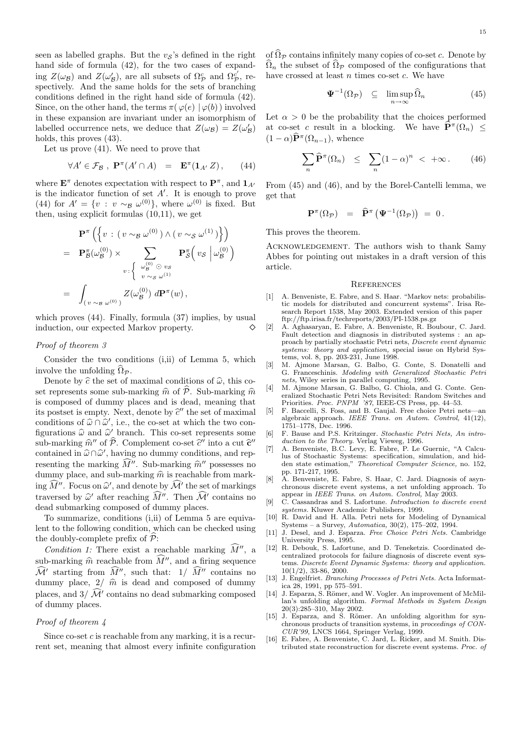seen as labelled graphs. But the  $v<sub>S</sub>$ 's defined in the right hand side of formula  $(42)$ , for the two cases of expanding  $Z(\omega_{\mathcal{B}})$  and  $Z(\omega_{\mathcal{B}}')$ , are all subsets of  $\Omega_{\mathcal{P}}^c$  and  $\Omega_{\mathcal{P}}^{c'}$ , respectively. And the same holds for the sets of branching conditions defined in the right hand side of formula (42). Since, on the other hand, the terms  $\pi(\varphi(e) | \varphi(b))$  involved in these expansion are invariant under an isomorphism of labelled occurrence nets, we deduce that  $Z(\omega_{\mathcal{B}}) = Z(\omega_{\mathcal{B}}')$ holds, this proves  $(43)$ .

Let us prove (41). We need to prove that

$$
\forall A' \in \mathcal{F}_{\mathcal{B}} \ , \ \mathbf{P}^{\pi}(A' \cap A) = \mathbf{E}^{\pi}(\mathbf{1}_{A'} Z), \qquad (44)
$$

where  $\mathbf{E}^{\pi}$  denotes expectation with respect to  $\mathbf{P}^{\pi}$ , and  $\mathbf{1}_{A}$ is the indicator function of set  $A'$ . It is enough to prove (44) for  $A' = \{v : v \sim_B \omega^{(0)}\}$ , where  $\omega^{(0)}$  is fixed. But then, using explicit formulas (10,11), we get

$$
\mathbf{P}^{\pi}\left(\left\{v \,:\, \left(v \sim_{\mathcal{B}} \omega^{(0)}\right) \wedge \left(v \sim_{\mathcal{S}} \omega^{(1)}\right)\right\}\right) \n= \mathbf{P}_{\mathcal{B}}^{\pi}(\omega_{\mathcal{B}}^{(0)}) \times \sum_{v \,:\, \left\{\begin{array}{c} \omega_{\mathcal{B}}^{(0)} \odot v_{\mathcal{S}} \\ v \sim_{\mathcal{S}} \omega^{(1)} \end{array}\right.} \mathbf{P}_{\mathcal{S}}^{\pi}\left(v_{\mathcal{S}} \middle| \omega_{\mathcal{B}}^{(0)}\right) \n= \int_{\left(v \sim_{\mathcal{B}} \omega^{(0)}\right)} Z(\omega_{\mathcal{B}}^{(0)}) d\mathbf{P}^{\pi}(w),
$$

which proves (44). Finally, formula (37) implies, by usual induction, our expected Markov property.

#### Proof of theorem 3

Consider the two conditions (i,ii) of Lemma 5, which involve the unfolding  $\Omega_{\mathcal{P}}$ .

Denote by  $\hat{c}$  the set of maximal conditions of  $\hat{\omega}$ , this coset represents some sub-marking  $\hat{m}$  of  $\hat{P}$ . Sub-marking  $\hat{m}$ is composed of dummy places and is dead, meaning that its postset is empty. Next, denote by  $\hat{c}$  the set of maximal conditions of  $\widehat{\omega} \cap \widehat{\omega}'$ , i.e., the co-set at which the two configurations  $\hat{\omega}$  and  $\hat{\omega}'$  branch. This co-set represents some sub-marking  $\hat{m}''$  of  $\hat{\mathcal{P}}$ . Complement co-set  $\hat{c}''$  into a cut  $\hat{c}''$ contained in  $\widehat{\omega} \cap \widehat{\omega}'$ , having no dummy conditions, and representing the marking  $\widehat{M}''$ . Sub-marking  $\widehat{m}''$  possesses no dummy place, and sub-marking  $\hat{m}$  is reachable from marking  $\widehat{M}''$ . Focus on  $\widehat{\omega}'$ , and denote by  $\widehat{\mathcal{M}}'$  the set of markings traversed by  $\hat{\omega}'$  after reaching  $\hat{M}''$ . Then  $\hat{\mathcal{M}}'$  contains no dead submarking composed of dummy places.

To summarize, conditions (i,ii) of Lemma 5 are equivalent to the following condition, which can be checked using the doubly-complete prefix of  $\overline{P}$ :

Condition 1: There exist a reachable marking  $\widehat{M}''$ , a sub-marking  $\hat{m}$  reachable from  $\hat{M}$ , and a firing sequence  $\widehat{\mathcal{M}}'$  starting from  $\widehat{M}''$ , such that:  $1/\widehat{M}''$  contains no dummy place,  $2/\hat{m}$  is dead and composed of dummy places, and  $3/\mathcal{M}'$  contains no dead submarking composed of dummy places.

#### Proof of theorem 4

Since co-set  $c$  is reachable from any marking, it is a recurrent set, meaning that almost every infinite configuration of  $\widehat{\Omega}_{\mathcal{P}}$  contains infinitely many copies of co-set c. Denote by  $\Omega_n$  the subset of  $\Omega_p$  composed of the configurations that have crossed at least  $n$  times co-set  $c$ . We have

$$
\Psi^{-1}(\Omega_{\mathcal{P}}) \subseteq \limsup_{n \to \infty} \widehat{\Omega}_n \tag{45}
$$

Let  $\alpha > 0$  be the probability that the choices performed at co-set c result in a blocking. We have  $\widehat{\mathbf{P}}^{\pi}(\Omega_n) \leq$  $(1-\alpha)\widehat{\mathbf{P}}^{\pi}(\Omega_{n-1}),$  whence

$$
\sum_{n} \widehat{\mathbf{P}}^{\pi}(\Omega_n) \leq \sum_{n} (1 - \alpha)^n < +\infty.
$$
 (46)

From (45) and (46), and by the Borel-Cantelli lemma, we get that

$$
\mathbf{P}^{\pi}(\Omega_{\mathcal{P}}) = \widehat{\mathbf{P}}^{\pi} (\Psi^{-1}(\Omega_{\mathcal{P}})) = 0.
$$

This proves the theorem.

Acknowledgement. The authors wish to thank Samy Abbes for pointing out mistakes in a draft version of this article.

#### **REFERENCES**

- [1] A. Benveniste, E. Fabre, and S. Haar. "Markov nets: probabilistic models for distributed and concurrent systems". Irisa Research Report 1538, May 2003. Extended version of this paper ftp://ftp.irisa.fr/techreports/2003/PI-1538.ps.gz
- [2] A. Aghasaryan, E. Fabre, A. Benveniste, R. Boubour, C. Jard. Fault detection and diagnosis in distributed systems : an approach by partially stochastic Petri nets, Discrete event dynamic systems: theory and application, special issue on Hybrid Systems, vol. 8, pp. 203-231, June 1998.
- [3] M. Ajmone Marsan, G. Balbo, G. Conte, S. Donatelli and G. Franceschinis. Modeling with Generalized Stochastic Petri nets, Wiley series in parallel computing, 1995.
- [4] M. Ajmone Marsan, G. Balbo, G. Chiola, and G. Conte. Generalized Stochastic Petri Nets Revisited: Random Switches and Priorities. Proc. PNPM '87, IEEE-CS Press, pp. 44–53.
- [5] F. Baccelli, S. Foss, and B. Gaujal. Free choice Petri nets—an algebraic approach. IEEE Trans. on Autom. Control, 41(12), 1751–1778, Dec. 1996.
- [6] F. Bause and P.S. Kritzinger. Stochastic Petri Nets, An introduction to the Theory. Verlag Vieweg, 1996.
- [7] A. Benveniste, B.C. Levy, E. Fabre, P. Le Guernic, "A Calculus of Stochastic Systems: specification, simulation, and hidden state estimation," Theoretical Computer Science, no. 152, pp. 171-217, 1995.
- [8] A. Benveniste, E. Fabre, S. Haar, C. Jard. Diagnosis of asynchronous discrete event systems, a net unfolding approach. To appear in IEEE Trans. on Autom. Control, May 2003.
- [9] C. Cassandras and S. Lafortune. Introduction to discrete event systems. Kluwer Academic Publishers, 1999.
- [10] R. David and H. Alla. Petri nets for Modeling of Dynamical Systems – a Survey, Automatica, 30(2), 175–202, 1994.
- [11] J. Desel, and J. Esparza. Free Choice Petri Nets. Cambridge University Press, 1995.
- [12] R. Debouk, S. Lafortune, and D. Teneketzis. Coordinated decentralized protocols for failure diagnosis of discrete event systems. Discrete Event Dynamic Systems: theory and application. 10(1/2), 33-86, 2000.
- [13] J. Engelfriet. Branching Processes of Petri Nets. Acta Informatica 28, 1991, pp 575–591.
- [14] J. Esparza, S. Römer, and W. Vogler. An improvement of McMillan's unfolding algorithm. Formal Methods in System Design 20(3):285–310, May 2002.
- [15] J. Esparza, and S. Römer. An unfolding algorithm for synchronous products of transition systems, in proceedings of CON-CUR'99, LNCS 1664, Springer Verlag, 1999.
- [16] E. Fabre, A. Benveniste, C. Jard, L. Ricker, and M. Smith. Distributed state reconstruction for discrete event systems. Proc. of